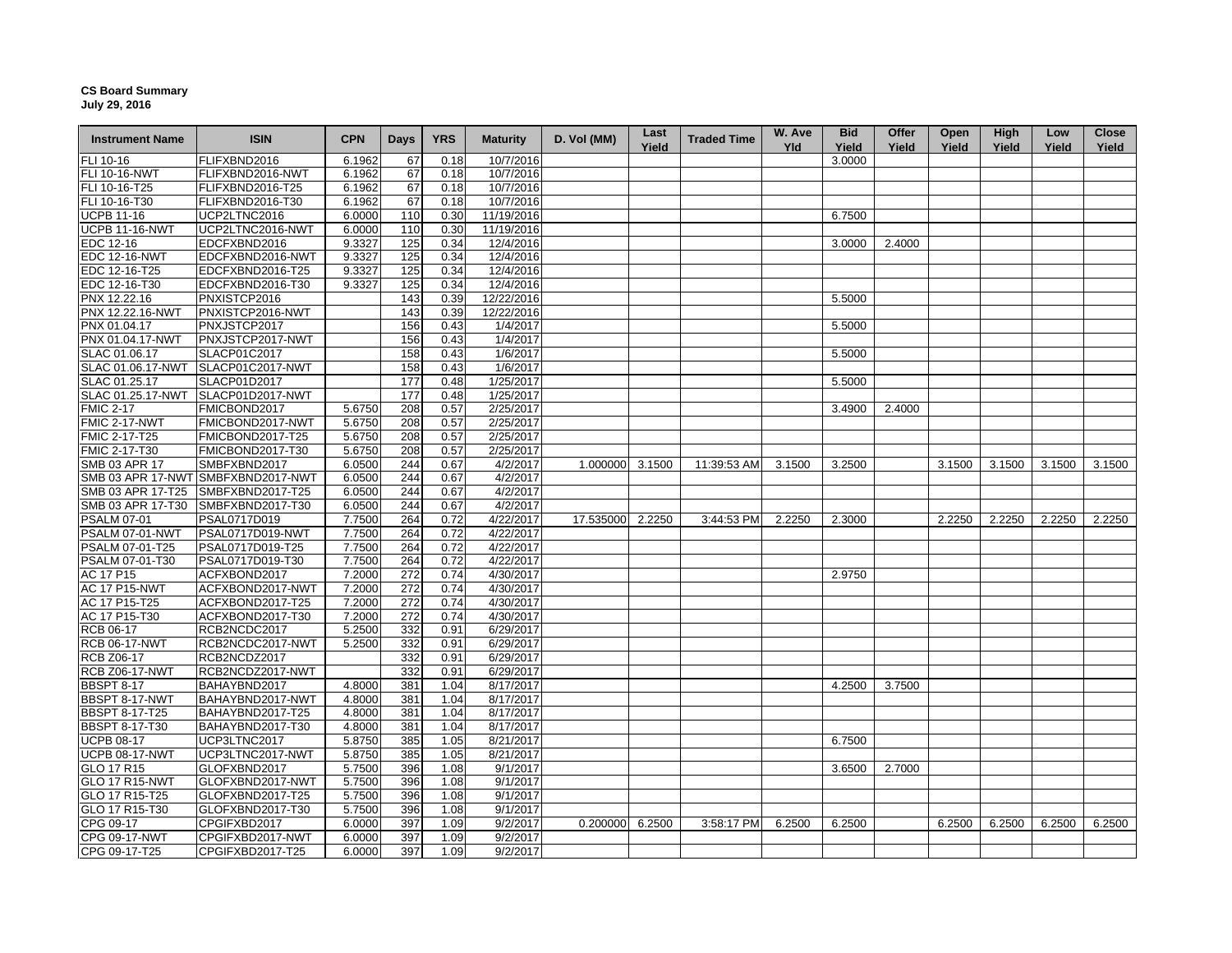## **CS Board Summary July 29, 2016**

| <b>Instrument Name</b> | <b>ISIN</b>                        | <b>CPN</b>       | <b>Days</b> | <b>YRS</b> | <b>Maturity</b>        | D. Vol (MM) | Last<br>Yield | <b>Traded Time</b> | W. Ave<br>Yld | <b>Bid</b><br>Yield | Offer<br>Yield | Open<br>Yield | High<br>Yield | Low<br>Yield | <b>Close</b><br>Yield |
|------------------------|------------------------------------|------------------|-------------|------------|------------------------|-------------|---------------|--------------------|---------------|---------------------|----------------|---------------|---------------|--------------|-----------------------|
| FLI 10-16              | FLIFXBND2016                       | 6.1962           | 67          | 0.18       | 10/7/2016              |             |               |                    |               | 3.0000              |                |               |               |              |                       |
| FLI 10-16-NWT          | FLIFXBND2016-NWT                   | 6.1962           | 67          | 0.18       | 10/7/2016              |             |               |                    |               |                     |                |               |               |              |                       |
| FLI 10-16-T25          | FLIFXBND2016-T25                   | 6.1962           | 67          | 0.18       | 10/7/2016              |             |               |                    |               |                     |                |               |               |              |                       |
| FLI 10-16-T30          | FLIFXBND2016-T30                   | 6.1962           | 67          | 0.18       | 10/7/2016              |             |               |                    |               |                     |                |               |               |              |                       |
| <b>UCPB 11-16</b>      | UCP2LTNC2016                       | 6.0000           | 110         | 0.30       | 11/19/2016             |             |               |                    |               | 6.7500              |                |               |               |              |                       |
| <b>UCPB 11-16-NWT</b>  | UCP2LTNC2016-NWT                   | 6.0000           | 110         | 0.30       | 11/19/2016             |             |               |                    |               |                     |                |               |               |              |                       |
| EDC 12-16              | EDCFXBND2016                       | 9.3327           | 125         | 0.34       | 12/4/2016              |             |               |                    |               | 3.0000              | 2.4000         |               |               |              |                       |
| <b>EDC 12-16-NWT</b>   | EDCFXBND2016-NWT                   | 9.3327           | 125         | 0.34       | 12/4/2016              |             |               |                    |               |                     |                |               |               |              |                       |
| EDC 12-16-T25          | EDCFXBND2016-T25                   | 9.3327           | 125         | 0.34       | 12/4/2016              |             |               |                    |               |                     |                |               |               |              |                       |
| EDC 12-16-T30          | EDCFXBND2016-T30                   | 9.3327           | 125         | 0.34       | 12/4/2016              |             |               |                    |               |                     |                |               |               |              |                       |
| PNX 12.22.16           | PNXISTCP2016                       |                  | 143         | 0.39       | 12/22/2016             |             |               |                    |               | 5.5000              |                |               |               |              |                       |
| PNX 12.22.16-NWT       | PNXISTCP2016-NWT                   |                  | 143         | 0.39       | 12/22/2016             |             |               |                    |               |                     |                |               |               |              |                       |
| PNX 01.04.17           | PNXJSTCP2017                       |                  | 156         | 0.43       | 1/4/2017               |             |               |                    |               | 5.5000              |                |               |               |              |                       |
| PNX 01.04.17-NWT       | PNXJSTCP2017-NWT                   |                  | 156         | 0.43       | 1/4/2017               |             |               |                    |               |                     |                |               |               |              |                       |
| SLAC 01.06.17          | SLACP01C2017                       |                  | 158         | 0.43       | 1/6/2017               |             |               |                    |               | 5.5000              |                |               |               |              |                       |
| SLAC 01.06.17-NWT      | SLACP01C2017-NWT                   |                  | 158         | 0.43       | 1/6/2017               |             |               |                    |               |                     |                |               |               |              |                       |
| SLAC 01.25.17          | SLACP01D2017                       |                  | 177         | 0.48       | 1/25/2017              |             |               |                    |               | 5.5000              |                |               |               |              |                       |
| SLAC 01.25.17-NWT      | SLACP01D2017-NWT                   |                  | 177         | 0.48       | 1/25/2017              |             |               |                    |               |                     |                |               |               |              |                       |
| <b>FMIC 2-17</b>       | FMICBOND2017                       | 5.6750           | 208         | 0.57       | 2/25/2017              |             |               |                    |               | 3.4900              | 2.4000         |               |               |              |                       |
| <b>FMIC 2-17-NWT</b>   | FMICBOND2017-NWT                   | 5.6750           | 208         | 0.57       | 2/25/2017              |             |               |                    |               |                     |                |               |               |              |                       |
| FMIC 2-17-T25          | FMICBOND2017-T25                   | 5.6750           | 208         | 0.57       | 2/25/2017              |             |               |                    |               |                     |                |               |               |              |                       |
| FMIC 2-17-T30          | FMICBOND2017-T30                   | 5.6750           | 208         | 0.57       | 2/25/2017              |             |               |                    |               |                     |                |               |               |              |                       |
| SMB 03 APR 17          | SMBFXBND2017                       | 6.0500           | 244         | 0.67       | 4/2/2017               | 1.000000    | 3.1500        | 11:39:53 AM        | 3.1500        | 3.2500              |                | 3.1500        | 3.1500        | 3.1500       | 3.1500                |
|                        | SMB 03 APR 17-NWT SMBFXBND2017-NWT | 6.0500           | 244         | 0.67       | 4/2/2017               |             |               |                    |               |                     |                |               |               |              |                       |
| SMB 03 APR 17-T25      | SMBFXBND2017-T25                   | 6.0500           | 244         | 0.67       | 4/2/2017               |             |               |                    |               |                     |                |               |               |              |                       |
| SMB 03 APR 17-T30      | SMBFXBND2017-T30                   | 6.0500           | 244         | 0.67       | 4/2/2017               |             |               |                    |               |                     |                |               |               |              |                       |
| <b>PSALM 07-01</b>     | PSAL0717D019                       | 7.7500           | 264         | 0.72       | 4/22/2017              | 17.535000   | 2.2250        | 3:44:53 PM         | 2.2250        | 2.3000              |                | 2.2250        | 2.2250        | 2.2250       | 2.2250                |
| PSALM 07-01-NWT        | PSAL0717D019-NWT                   | 7.7500           | 264         | 0.72       | 4/22/2017              |             |               |                    |               |                     |                |               |               |              |                       |
| PSALM 07-01-T25        | PSAL0717D019-T25                   | 7.7500           | 264         | 0.72       | 4/22/2017              |             |               |                    |               |                     |                |               |               |              |                       |
|                        |                                    |                  |             |            |                        |             |               |                    |               |                     |                |               |               |              |                       |
| PSALM 07-01-T30        | PSAL0717D019-T30                   | 7.7500<br>7.2000 | 264<br>272  | 0.72       | 4/22/2017<br>4/30/2017 |             |               |                    |               |                     |                |               |               |              |                       |
| AC 17 P15              | ACFXBOND2017                       |                  |             | 0.74       |                        |             |               |                    |               | 2.9750              |                |               |               |              |                       |
| <b>AC 17 P15-NWT</b>   | ACFXBOND2017-NWT                   | 7.2000           | 272         | 0.74       | 4/30/2017              |             |               |                    |               |                     |                |               |               |              |                       |
| AC 17 P15-T25          | ACFXBOND2017-T25                   | 7.2000           | 272         | 0.74       | 4/30/2017              |             |               |                    |               |                     |                |               |               |              |                       |
| AC 17 P15-T30          | ACFXBOND2017-T30                   | 7.2000           | 272         | 0.74       | 4/30/2017              |             |               |                    |               |                     |                |               |               |              |                       |
| RCB 06-17              | RCB2NCDC2017                       | 5.2500           | 332         | 0.91       | 6/29/2017              |             |               |                    |               |                     |                |               |               |              |                       |
| <b>RCB 06-17-NWT</b>   | RCB2NCDC2017-NWT                   | 5.2500           | 332         | 0.91       | 6/29/2017              |             |               |                    |               |                     |                |               |               |              |                       |
| <b>RCB Z06-17</b>      | RCB2NCDZ2017                       |                  | 332         | 0.91       | 6/29/2017              |             |               |                    |               |                     |                |               |               |              |                       |
| <b>RCB Z06-17-NWT</b>  | RCB2NCDZ2017-NWT                   |                  | 332         | 0.91       | 6/29/2017              |             |               |                    |               |                     |                |               |               |              |                       |
| <b>BBSPT 8-17</b>      | BAHAYBND2017                       | 4.8000           | 381         | 1.04       | 8/17/2017              |             |               |                    |               | 4.2500              | 3.7500         |               |               |              |                       |
| BBSPT 8-17-NWT         | BAHAYBND2017-NWT                   | 4.8000           | 381         | 1.04       | 8/17/2017              |             |               |                    |               |                     |                |               |               |              |                       |
| <b>BBSPT 8-17-T25</b>  | BAHAYBND2017-T25                   | 4.8000           | 381         | 1.04       | 8/17/2017              |             |               |                    |               |                     |                |               |               |              |                       |
| BBSPT 8-17-T30         | BAHAYBND2017-T30                   | 4.8000           | 381         | 1.04       | 8/17/2017              |             |               |                    |               |                     |                |               |               |              |                       |
| <b>UCPB 08-17</b>      | UCP3LTNC2017                       | 5.8750           | 385         | 1.05       | 8/21/2017              |             |               |                    |               | 6.7500              |                |               |               |              |                       |
| <b>UCPB 08-17-NWT</b>  | UCP3LTNC2017-NWT                   | 5.8750           | 385         | 1.05       | 8/21/2017              |             |               |                    |               |                     |                |               |               |              |                       |
| GLO 17 R15             | GLOFXBND2017                       | 5.7500           | 396         | 1.08       | 9/1/2017               |             |               |                    |               | 3.6500              | 2.7000         |               |               |              |                       |
| <b>GLO 17 R15-NWT</b>  | GLOFXBND2017-NWT                   | 5.7500           | 396         | 1.08       | 9/1/2017               |             |               |                    |               |                     |                |               |               |              |                       |
| GLO 17 R15-T25         | GLOFXBND2017-T25                   | 5.7500           | 396         | 1.08       | 9/1/2017               |             |               |                    |               |                     |                |               |               |              |                       |
| GLO 17 R15-T30         | GLOFXBND2017-T30                   | 5.7500           | 396         | 1.08       | 9/1/2017               |             |               |                    |               |                     |                |               |               |              |                       |
| CPG 09-17              | CPGIFXBD2017                       | 6.0000           | 397         | 1.09       | 9/2/2017               | 0.200000    | 6.2500        | 3:58:17 PM         | 6.2500        | 6.2500              |                | 6.2500        | 6.2500        | 6.2500       | 6.2500                |
| CPG 09-17-NWT          | CPGIFXBD2017-NWT                   | 6.0000           | 397         | 1.09       | 9/2/2017               |             |               |                    |               |                     |                |               |               |              |                       |
| CPG 09-17-T25          | CPGIFXBD2017-T25                   | 6.0000           | 397         | 1.09       | 9/2/2017               |             |               |                    |               |                     |                |               |               |              |                       |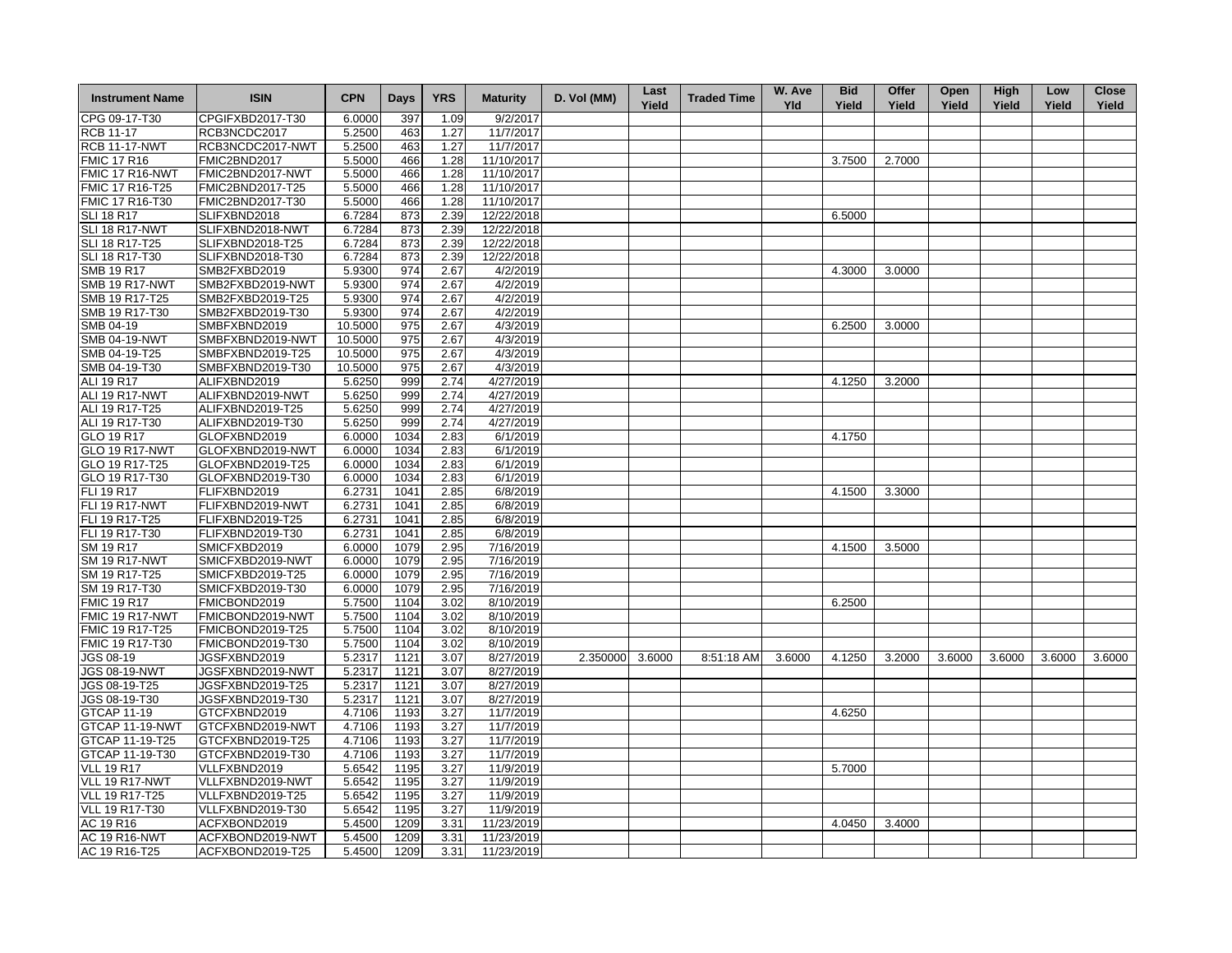| <b>Instrument Name</b>             | <b>ISIN</b>                          | <b>CPN</b>       | <b>Days</b>  | <b>YRS</b>   | <b>Maturity</b>        | D. Vol (MM) | Last<br>Yield | <b>Traded Time</b> | W. Ave<br><b>Yld</b> | <b>Bid</b><br>Yield | Offer<br>Yield | Open<br>Yield | High<br>Yield | Low<br>Yield | <b>Close</b><br>Yield |
|------------------------------------|--------------------------------------|------------------|--------------|--------------|------------------------|-------------|---------------|--------------------|----------------------|---------------------|----------------|---------------|---------------|--------------|-----------------------|
| CPG 09-17-T30                      | CPGIFXBD2017-T30                     | 6.0000           | 397          | 1.09         | 9/2/2017               |             |               |                    |                      |                     |                |               |               |              |                       |
| <b>RCB 11-17</b>                   | RCB3NCDC2017                         | 5.2500           | 463          | 1.27         | 11/7/2017              |             |               |                    |                      |                     |                |               |               |              |                       |
| <b>RCB 11-17-NWT</b>               | RCB3NCDC2017-NWT                     | 5.2500           | 463          | 1.27         | 11/7/2017              |             |               |                    |                      |                     |                |               |               |              |                       |
| <b>FMIC 17 R16</b>                 | FMIC2BND2017                         | 5.5000           | 466          | 1.28         | 11/10/2017             |             |               |                    |                      | 3.7500              | 2.7000         |               |               |              |                       |
| FMIC 17 R16-NWT                    | FMIC2BND2017-NWT                     | 5.5000           | 466          | 1.28         | 11/10/2017             |             |               |                    |                      |                     |                |               |               |              |                       |
| <b>FMIC 17 R16-T25</b>             | FMIC2BND2017-T25                     | 5.5000           | 466          | 1.28         | 11/10/2017             |             |               |                    |                      |                     |                |               |               |              |                       |
| FMIC 17 R16-T30                    | FMIC2BND2017-T30                     | 5.5000           | 466          | 1.28         | 11/10/2017             |             |               |                    |                      |                     |                |               |               |              |                       |
| <b>SLI 18 R17</b>                  | SLIFXBND2018                         | 6.7284           | 873          | 2.39         | 12/22/2018             |             |               |                    |                      | 6.5000              |                |               |               |              |                       |
| SLI 18 R17-NWT                     | SLIFXBND2018-NWT                     | 6.7284           | 873          | 2.39         | 12/22/2018             |             |               |                    |                      |                     |                |               |               |              |                       |
| SLI 18 R17-T25                     | SLIFXBND2018-T25                     | 6.7284           | 873          | 2.39         | 12/22/2018             |             |               |                    |                      |                     |                |               |               |              |                       |
| SLI 18 R17-T30                     | SLIFXBND2018-T30                     | 6.7284           | 873          | 2.39         | 12/22/2018             |             |               |                    |                      |                     |                |               |               |              |                       |
| <b>SMB 19 R17</b>                  | SMB2FXBD2019                         | 5.9300           | 974          | 2.67         | 4/2/2019               |             |               |                    |                      | 4.3000              | 3.0000         |               |               |              |                       |
| <b>SMB 19 R17-NWT</b>              | SMB2FXBD2019-NWT                     | 5.9300           | 974          | 2.67         | 4/2/2019               |             |               |                    |                      |                     |                |               |               |              |                       |
| SMB 19 R17-T25                     | SMB2FXBD2019-T25                     | 5.9300           | 974          | 2.67         | 4/2/2019               |             |               |                    |                      |                     |                |               |               |              |                       |
| SMB 19 R17-T30                     | SMB2FXBD2019-T30                     | 5.9300           | 974          | 2.67         | 4/2/2019               |             |               |                    |                      |                     |                |               |               |              |                       |
| SMB 04-19                          | SMBFXBND2019                         | 10.5000          | 975          | 2.67         | 4/3/2019               |             |               |                    |                      | 6.2500              | 3.0000         |               |               |              |                       |
| <b>SMB 04-19-NWT</b>               | SMBFXBND2019-NWT                     | 10.5000          | 975          | 2.67         | 4/3/2019               |             |               |                    |                      |                     |                |               |               |              |                       |
| SMB 04-19-T25                      | SMBFXBND2019-T25                     | 10.5000          | 975          | 2.67         | 4/3/2019               |             |               |                    |                      |                     |                |               |               |              |                       |
| SMB 04-19-T30                      | SMBFXBND2019-T30                     | 10.5000          | 975          | 2.67         | 4/3/2019               |             |               |                    |                      |                     |                |               |               |              |                       |
| ALI 19 R17                         | ALIFXBND2019                         | 5.6250           | 999          | 2.74         | 4/27/2019              |             |               |                    |                      | 4.1250              | 3.2000         |               |               |              |                       |
| ALI 19 R17-NWT                     | ALIFXBND2019-NWT                     | 5.6250           | 999          | 2.74         | 4/27/2019              |             |               |                    |                      |                     |                |               |               |              |                       |
| ALI 19 R17-T25                     | ALIFXBND2019-T25                     | 5.6250           | 999          | 2.74         | 4/27/2019              |             |               |                    |                      |                     |                |               |               |              |                       |
| ALI 19 R17-T30                     | ALIFXBND2019-T30                     | 5.6250           | 999          | 2.74         | 4/27/2019              |             |               |                    |                      |                     |                |               |               |              |                       |
| GLO 19 R17                         | GLOFXBND2019                         | 6.0000           | 1034         | 2.83         | 6/1/2019               |             |               |                    |                      | 4.1750              |                |               |               |              |                       |
| GLO 19 R17-NWT                     | GLOFXBND2019-NWT                     | 6.0000           | 1034         | 2.83         | 6/1/2019               |             |               |                    |                      |                     |                |               |               |              |                       |
| GLO 19 R17-T25                     | GLOFXBND2019-T25                     | 6.0000           | 1034         | 2.83         | 6/1/2019               |             |               |                    |                      |                     |                |               |               |              |                       |
| GLO 19 R17-T30                     | GLOFXBND2019-T30                     | 6.0000           | 1034         | 2.83         | 6/1/2019               |             |               |                    |                      |                     |                |               |               |              |                       |
| <b>FLI 19 R17</b>                  | FLIFXBND2019                         | 6.2731           | 1041         | 2.85         | 6/8/2019               |             |               |                    |                      | 4.1500              | 3.3000         |               |               |              |                       |
| <b>FLI 19 R17-NWT</b>              | FLIFXBND2019-NWT                     | 6.2731           | 1041         | 2.85         | 6/8/2019               |             |               |                    |                      |                     |                |               |               |              |                       |
| FLI 19 R17-T25                     | FLIFXBND2019-T25                     | 6.2731           | 1041         | 2.85         | 6/8/2019               |             |               |                    |                      |                     |                |               |               |              |                       |
| FLI 19 R17-T30                     | FLIFXBND2019-T30                     | 6.2731           | 1041         | 2.85         | 6/8/2019               |             |               |                    |                      |                     |                |               |               |              |                       |
| SM 19 R17                          | SMICFXBD2019                         | 6.0000           | 1079         | 2.95         | 7/16/2019              |             |               |                    |                      | 4.1500              | 3.5000         |               |               |              |                       |
| <b>SM 19 R17-NWT</b>               | SMICFXBD2019-NWT                     | 6.0000           | 1079         | 2.95         | 7/16/2019              |             |               |                    |                      |                     |                |               |               |              |                       |
| SM 19 R17-T25                      | SMICFXBD2019-T25                     | 6.0000           | 1079         | 2.95         | 7/16/2019              |             |               |                    |                      |                     |                |               |               |              |                       |
| SM 19 R17-T30                      | SMICFXBD2019-T30                     | 6.0000           | 1079         | 2.95         | 7/16/2019              |             |               |                    |                      |                     |                |               |               |              |                       |
| <b>FMIC 19 R17</b>                 | FMICBOND2019                         | 5.7500           | 1104         | 3.02         | 8/10/2019              |             |               |                    |                      | 6.2500              |                |               |               |              |                       |
| FMIC 19 R17-NWT                    | FMICBOND2019-NWT                     | 5.7500           | 1104         | 3.02         | 8/10/2019              |             |               |                    |                      |                     |                |               |               |              |                       |
| FMIC 19 R17-T25                    | FMICBOND2019-T25                     | 5.7500           | 1104         | 3.02         | 8/10/2019              |             |               |                    |                      |                     |                |               |               |              |                       |
| FMIC 19 R17-T30                    | FMICBOND2019-T30                     | 5.7500           | 1104         | 3.02         | 8/10/2019              |             |               |                    |                      |                     |                |               |               |              |                       |
| <b>JGS 08-19</b>                   | JGSFXBND2019                         | 5.2317           | 1121         | 3.07         | 8/27/2019              | 2.350000    | 3.6000        | 8:51:18 AM         | 3.6000               | 4.1250              | 3.2000         | 3.6000        | 3.6000        | 3.6000       | 3.6000                |
| <b>JGS 08-19-NWT</b>               | JGSFXBND2019-NWT                     | 5.2317           | 1121         | 3.07         | 8/27/2019              |             |               |                    |                      |                     |                |               |               |              |                       |
| JGS 08-19-T25                      | JGSFXBND2019-T25                     |                  |              | 3.07         | 8/27/2019              |             |               |                    |                      |                     |                |               |               |              |                       |
| JGS 08-19-T30                      | JGSFXBND2019-T30                     | 5.2317<br>5.2317 | 1121<br>1121 | 3.07         | 8/27/2019              |             |               |                    |                      |                     |                |               |               |              |                       |
|                                    |                                      | 4.7106           | 1193         | 3.27         |                        |             |               |                    |                      | 4.6250              |                |               |               |              |                       |
| GTCAP 11-19                        | GTCFXBND2019                         |                  |              |              | 11/7/2019              |             |               |                    |                      |                     |                |               |               |              |                       |
| GTCAP 11-19-NWT<br>GTCAP 11-19-T25 | GTCFXBND2019-NWT<br>GTCFXBND2019-T25 | 4.7106<br>4.7106 | 1193<br>1193 | 3.27         | 11/7/2019<br>11/7/2019 |             |               |                    |                      |                     |                |               |               |              |                       |
|                                    |                                      | 4.7106           |              | 3.27<br>3.27 |                        |             |               |                    |                      |                     |                |               |               |              |                       |
| GTCAP 11-19-T30                    | GTCFXBND2019-T30                     |                  | 1193         |              | 11/7/2019              |             |               |                    |                      |                     |                |               |               |              |                       |
| <b>VLL 19 R17</b>                  | VLLFXBND2019                         | 5.6542           | 1195         | 3.27         | 11/9/2019              |             |               |                    |                      | 5.7000              |                |               |               |              |                       |
| VLL 19 R17-NWT                     | VLLFXBND2019-NWT                     | 5.6542           | 1195         | 3.27         | 11/9/2019              |             |               |                    |                      |                     |                |               |               |              |                       |
| <b>VLL 19 R17-T25</b>              | VLLFXBND2019-T25                     | 5.6542           | 1195         | 3.27         | 11/9/2019              |             |               |                    |                      |                     |                |               |               |              |                       |
| VLL 19 R17-T30                     | VLLFXBND2019-T30                     | 5.6542           | 1195         | 3.27         | 11/9/2019              |             |               |                    |                      |                     |                |               |               |              |                       |
| AC 19 R16                          | ACFXBOND2019                         | 5.4500           | 1209         | 3.31         | 11/23/2019             |             |               |                    |                      | 4.0450              | 3.4000         |               |               |              |                       |
| <b>AC 19 R16-NWT</b>               | ACFXBOND2019-NWT                     | 5.4500           | 1209         | 3.31         | 11/23/2019             |             |               |                    |                      |                     |                |               |               |              |                       |
| AC 19 R16-T25                      | ACFXBOND2019-T25                     | 5.4500           | 1209         | 3.31         | 11/23/2019             |             |               |                    |                      |                     |                |               |               |              |                       |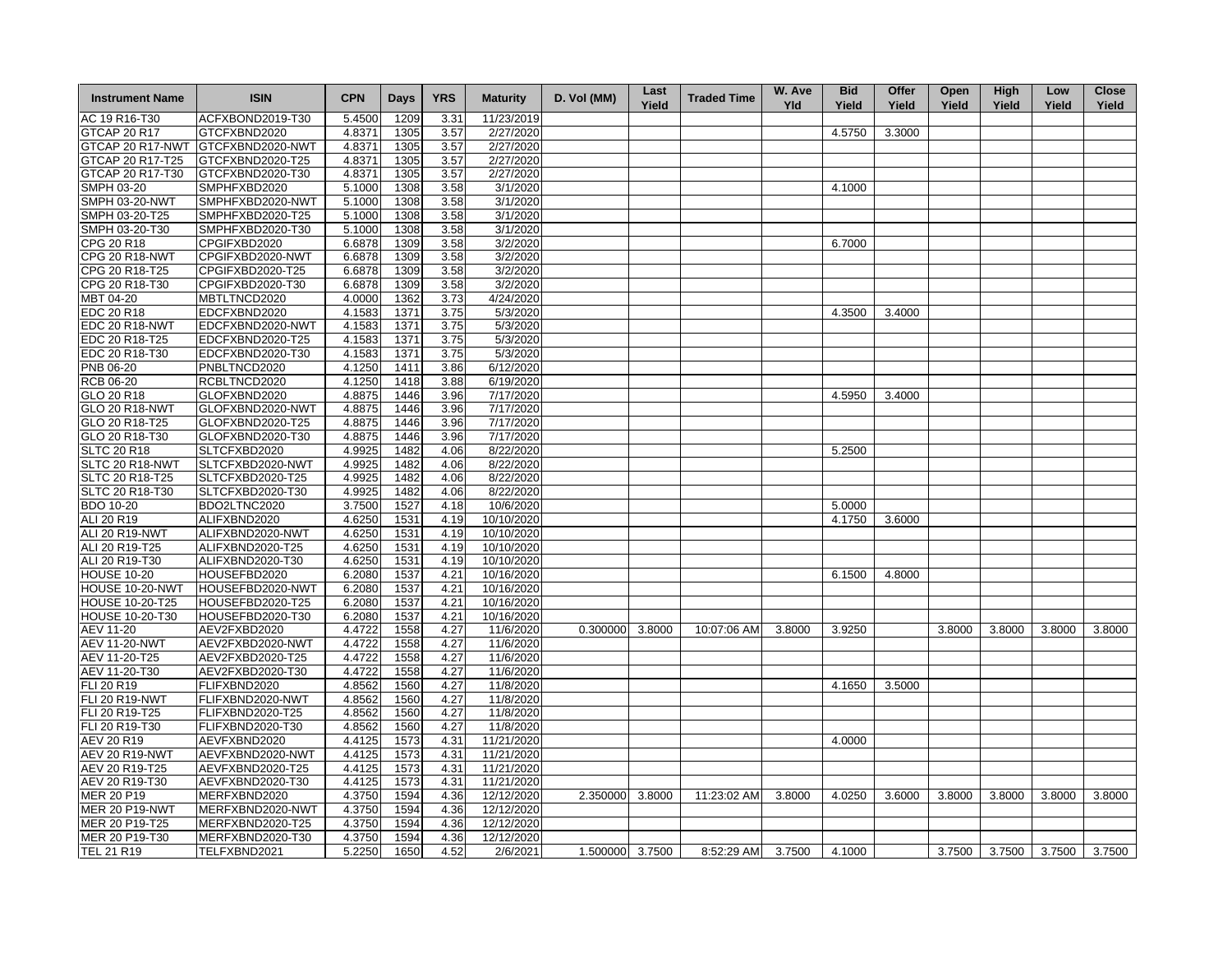| <b>Instrument Name</b>       | <b>ISIN</b>      | <b>CPN</b> | <b>Days</b> | <b>YRS</b> | <b>Maturity</b>   | D. Vol (MM)     | Last<br>Yield | <b>Traded Time</b> | W. Ave<br><b>Yld</b> | <b>Bid</b><br>Yield | Offer<br>Yield | Open<br>Yield | High<br>Yield        | Low<br>Yield | <b>Close</b><br>Yield |
|------------------------------|------------------|------------|-------------|------------|-------------------|-----------------|---------------|--------------------|----------------------|---------------------|----------------|---------------|----------------------|--------------|-----------------------|
| AC 19 R16-T30                | ACFXBOND2019-T30 | 5.4500     | 1209        | 3.31       | 11/23/2019        |                 |               |                    |                      |                     |                |               |                      |              |                       |
| <b>GTCAP 20 R17</b>          | GTCFXBND2020     | 4.8371     | 1305        | 3.57       | 2/27/2020         |                 |               |                    |                      | 4.5750              | 3.3000         |               |                      |              |                       |
| GTCAP 20 R17-NWT             | GTCFXBND2020-NWT | 4.8371     | 1305        | 3.57       | 2/27/2020         |                 |               |                    |                      |                     |                |               |                      |              |                       |
| GTCAP 20 R17-T25             | GTCFXBND2020-T25 | 4.8371     | 1305        | 3.57       | 2/27/2020         |                 |               |                    |                      |                     |                |               |                      |              |                       |
| GTCAP 20 R17-T30             | GTCFXBND2020-T30 | 4.8371     | 1305        | 3.57       | 2/27/2020         |                 |               |                    |                      |                     |                |               |                      |              |                       |
| <b>SMPH 03-20</b>            | SMPHFXBD2020     | 5.1000     | 1308        | 3.58       | 3/1/2020          |                 |               |                    |                      | 4.1000              |                |               |                      |              |                       |
| <b>SMPH 03-20-NWT</b>        | SMPHFXBD2020-NWT | 5.1000     | 1308        | 3.58       | 3/1/2020          |                 |               |                    |                      |                     |                |               |                      |              |                       |
| SMPH 03-20-T25               | SMPHFXBD2020-T25 | 5.1000     | 1308        | 3.58       | 3/1/2020          |                 |               |                    |                      |                     |                |               |                      |              |                       |
| SMPH 03-20-T30               | SMPHFXBD2020-T30 | 5.1000     | 1308        | 3.58       | 3/1/2020          |                 |               |                    |                      |                     |                |               |                      |              |                       |
| CPG 20 R18                   | CPGIFXBD2020     | 6.6878     | 1309        | 3.58       | 3/2/2020          |                 |               |                    |                      | 6.7000              |                |               |                      |              |                       |
| <b>CPG 20 R18-NWT</b>        | CPGIFXBD2020-NWT | 6.6878     | 1309        | 3.58       | 3/2/2020          |                 |               |                    |                      |                     |                |               |                      |              |                       |
| CPG 20 R18-T25               | CPGIFXBD2020-T25 | 6.6878     | 1309        | 3.58       | 3/2/2020          |                 |               |                    |                      |                     |                |               |                      |              |                       |
| CPG 20 R18-T30               | CPGIFXBD2020-T30 | 6.6878     | 1309        | 3.58       | 3/2/2020          |                 |               |                    |                      |                     |                |               |                      |              |                       |
| MBT 04-20                    | MBTLTNCD2020     | 4.0000     | 1362        | 3.73       | 4/24/2020         |                 |               |                    |                      |                     |                |               |                      |              |                       |
|                              |                  |            |             |            | $\sqrt{5}/3/2020$ |                 |               |                    |                      | 4.3500              | 3.4000         |               |                      |              |                       |
| EDC 20 R18<br>EDC 20 R18-NWT | EDCFXBND2020     | 4.1583     | 1371        | 3.75       |                   |                 |               |                    |                      |                     |                |               |                      |              |                       |
|                              | EDCFXBND2020-NWT | 4.1583     | 1371        | 3.75       | 5/3/2020          |                 |               |                    |                      |                     |                |               |                      |              |                       |
| EDC 20 R18-T25               | EDCFXBND2020-T25 | 4.1583     | 1371        | 3.75       | 5/3/2020          |                 |               |                    |                      |                     |                |               |                      |              |                       |
| EDC 20 R18-T30               | EDCFXBND2020-T30 | 4.1583     | 1371        | 3.75       | 5/3/2020          |                 |               |                    |                      |                     |                |               |                      |              |                       |
| PNB 06-20                    | PNBLTNCD2020     | 4.1250     | 1411        | 3.86       | 6/12/2020         |                 |               |                    |                      |                     |                |               |                      |              |                       |
| <b>RCB 06-20</b>             | RCBLTNCD2020     | 4.1250     | 1418        | 3.88       | 6/19/2020         |                 |               |                    |                      |                     |                |               |                      |              |                       |
| GLO 20 R18                   | GLOFXBND2020     | 4.8875     | 1446        | 3.96       | 7/17/2020         |                 |               |                    |                      | 4.5950              | 3.4000         |               |                      |              |                       |
| <b>GLO 20 R18-NWT</b>        | GLOFXBND2020-NWT | 4.8875     | 1446        | 3.96       | 7/17/2020         |                 |               |                    |                      |                     |                |               |                      |              |                       |
| GLO 20 R18-T25               | GLOFXBND2020-T25 | 4.8875     | 1446        | 3.96       | 7/17/2020         |                 |               |                    |                      |                     |                |               |                      |              |                       |
| GLO 20 R18-T30               | GLOFXBND2020-T30 | 4.8875     | 1446        | 3.96       | 7/17/2020         |                 |               |                    |                      |                     |                |               |                      |              |                       |
| <b>SLTC 20 R18</b>           | SLTCFXBD2020     | 4.9925     | 1482        | 4.06       | 8/22/2020         |                 |               |                    |                      | 5.2500              |                |               |                      |              |                       |
| SLTC 20 R18-NWT              | SLTCFXBD2020-NWT | 4.9925     | 1482        | 4.06       | 8/22/2020         |                 |               |                    |                      |                     |                |               |                      |              |                       |
| SLTC 20 R18-T25              | SLTCFXBD2020-T25 | 4.9925     | 1482        | 4.06       | 8/22/2020         |                 |               |                    |                      |                     |                |               |                      |              |                       |
| SLTC 20 R18-T30              | SLTCFXBD2020-T30 | 4.9925     | 1482        | 4.06       | 8/22/2020         |                 |               |                    |                      |                     |                |               |                      |              |                       |
| <b>BDO 10-20</b>             | BDO2LTNC2020     | 3.7500     | 1527        | 4.18       | 10/6/2020         |                 |               |                    |                      | 5.0000              |                |               |                      |              |                       |
| ALI 20 R19                   | ALIFXBND2020     | 4.6250     | 1531        | 4.19       | 10/10/2020        |                 |               |                    |                      | 4.1750              | 3.6000         |               |                      |              |                       |
| ALI 20 R19-NWT               | ALIFXBND2020-NWT | 4.6250     | 1531        | 4.19       | 10/10/2020        |                 |               |                    |                      |                     |                |               |                      |              |                       |
| ALI 20 R19-T25               | ALIFXBND2020-T25 | 4.6250     | 1531        | 4.19       | 10/10/2020        |                 |               |                    |                      |                     |                |               |                      |              |                       |
| ALI 20 R19-T30               | ALIFXBND2020-T30 | 4.6250     | 1531        | 4.19       | 10/10/2020        |                 |               |                    |                      |                     |                |               |                      |              |                       |
| <b>HOUSE 10-20</b>           | HOUSEFBD2020     | 6.2080     | 1537        | 4.21       | 10/16/2020        |                 |               |                    |                      | 6.1500              | 4.8000         |               |                      |              |                       |
| HOUSE 10-20-NWT              | HOUSEFBD2020-NWT | 6.2080     | 1537        | 4.21       | 10/16/2020        |                 |               |                    |                      |                     |                |               |                      |              |                       |
| <b>HOUSE 10-20-T25</b>       | HOUSEFBD2020-T25 | 6.2080     | 1537        | 4.21       | 10/16/2020        |                 |               |                    |                      |                     |                |               |                      |              |                       |
| <b>HOUSE 10-20-T30</b>       | HOUSEFBD2020-T30 | 6.2080     | 1537        | 4.21       | 10/16/2020        |                 |               |                    |                      |                     |                |               |                      |              |                       |
| AEV 11-20                    | AEV2FXBD2020     | 4.4722     | 1558        | 4.27       | 11/6/2020         | 0.300000        | 3.8000        | 10:07:06 AM        | 3.8000               | 3.9250              |                | 3.8000        | 3.8000               | 3.8000       | 3.8000                |
| <b>AEV 11-20-NWT</b>         | AEV2FXBD2020-NWT | 4.4722     | 1558        | 4.27       | 11/6/2020         |                 |               |                    |                      |                     |                |               |                      |              |                       |
| AEV 11-20-T25                | AEV2FXBD2020-T25 | 4.4722     | 1558        | 4.27       | 11/6/2020         |                 |               |                    |                      |                     |                |               |                      |              |                       |
| AEV 11-20-T30                | AEV2FXBD2020-T30 | 4.4722     | 1558        | 4.27       | 11/6/2020         |                 |               |                    |                      |                     |                |               |                      |              |                       |
| FLI 20 R19                   | FLIFXBND2020     | 4.8562     | 1560        | 4.27       | 11/8/2020         |                 |               |                    |                      | 4.1650              | 3.5000         |               |                      |              |                       |
| <b>FLI 20 R19-NWT</b>        | FLIFXBND2020-NWT | 4.8562     | 1560        | 4.27       | 11/8/2020         |                 |               |                    |                      |                     |                |               |                      |              |                       |
| FLI 20 R19-T25               |                  |            |             | 4.27       |                   |                 |               |                    |                      |                     |                |               |                      |              |                       |
|                              | FLIFXBND2020-T25 | 4.8562     | 1560        |            | 11/8/2020         |                 |               |                    |                      |                     |                |               |                      |              |                       |
| FLI 20 R19-T30               | FLIFXBND2020-T30 | 4.8562     | 1560        | 4.27       | 11/8/2020         |                 |               |                    |                      |                     |                |               |                      |              |                       |
| <b>AEV 20 R19</b>            | AEVFXBND2020     | 4.4125     | 1573        | 4.31       | 11/21/2020        |                 |               |                    |                      | 4.0000              |                |               |                      |              |                       |
| AEV 20 R19-NWT               | AEVFXBND2020-NWT | 4.4125     | 1573        | 4.31       | 11/21/2020        |                 |               |                    |                      |                     |                |               |                      |              |                       |
| AEV 20 R19-T25               | AEVFXBND2020-T25 | 4.4125     | 1573        | 4.31       | 11/21/2020        |                 |               |                    |                      |                     |                |               |                      |              |                       |
| AEV 20 R19-T30               | AEVFXBND2020-T30 | 4.4125     | 1573        | 4.31       | 11/21/2020        |                 |               |                    |                      |                     |                |               |                      |              |                       |
| MER 20 P19                   | MERFXBND2020     | 4.3750     | 1594        | 4.36       | 12/12/2020        | 2.350000        | 3.8000        | 11:23:02 AM        | 3.8000               | 4.0250              | 3.6000         | 3.8000        | 3.8000               | 3.8000       | 3.8000                |
| <b>MER 20 P19-NWT</b>        | MERFXBND2020-NWT | 4.3750     | 1594        | 4.36       | 12/12/2020        |                 |               |                    |                      |                     |                |               |                      |              |                       |
| MER 20 P19-T25               | MERFXBND2020-T25 | 4.3750     | 1594        | 4.36       | 12/12/2020        |                 |               |                    |                      |                     |                |               |                      |              |                       |
| MER 20 P19-T30               | MERFXBND2020-T30 | 4.3750     | 1594        | 4.36       | 12/12/2020        |                 |               |                    |                      |                     |                |               |                      |              |                       |
| TEL 21 R19                   | TELFXBND2021     | 5.2250     | 1650        | 4.52       | 2/6/2021          | 1.500000 3.7500 |               | 8:52:29 AM         | 3.7500               | 4.1000              |                |               | 3.7500 3.7500 3.7500 |              | 3.7500                |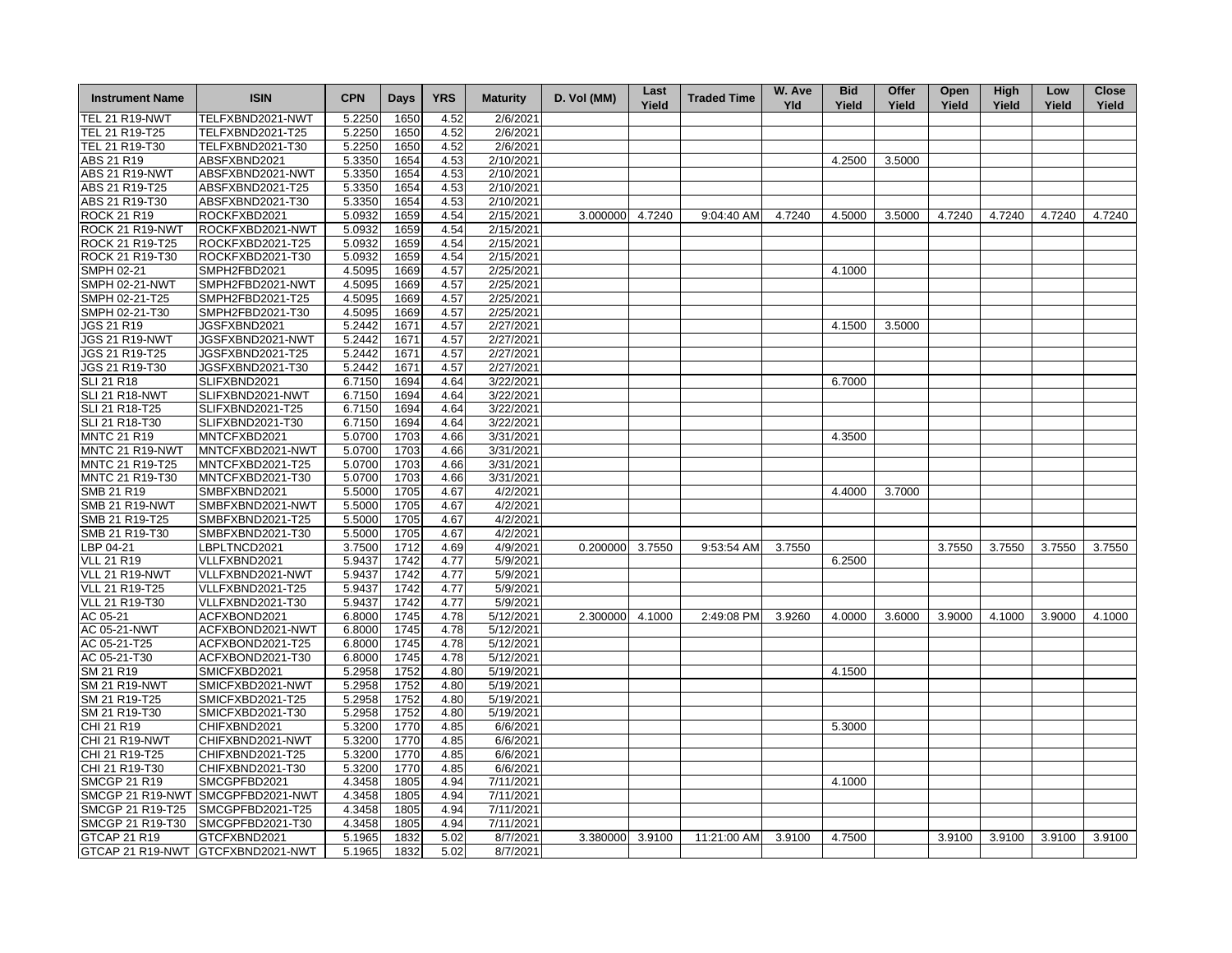| <b>Instrument Name</b>             | <b>ISIN</b>                          | <b>CPN</b> | <b>Days</b> | <b>YRS</b> | <b>Maturity</b>        | D. Vol (MM)     | Last<br>Yield | <b>Traded Time</b> | W. Ave<br><b>Yld</b> | <b>Bid</b><br>Yield | Offer<br>Yield | Open<br>Yield | High<br>Yield | Low<br>Yield | <b>Close</b><br>Yield |
|------------------------------------|--------------------------------------|------------|-------------|------------|------------------------|-----------------|---------------|--------------------|----------------------|---------------------|----------------|---------------|---------------|--------------|-----------------------|
| <b>TEL 21 R19-NWT</b>              | TELFXBND2021-NWT                     | 5.2250     | 1650        | 4.52       | 2/6/2021               |                 |               |                    |                      |                     |                |               |               |              |                       |
| TEL 21 R19-T25                     | TELFXBND2021-T25                     | 5.2250     | 1650        | 4.52       | 2/6/2021               |                 |               |                    |                      |                     |                |               |               |              |                       |
| TEL 21 R19-T30                     | TELFXBND2021-T30                     | 5.2250     | 1650        | 4.52       | 2/6/2021               |                 |               |                    |                      |                     |                |               |               |              |                       |
| ABS 21 R19                         | ABSFXBND2021                         | 5.3350     | 1654        | 4.53       | 2/10/2021              |                 |               |                    |                      | 4.2500              | 3.5000         |               |               |              |                       |
| <b>ABS 21 R19-NWT</b>              | ABSFXBND2021-NWT                     | 5.3350     | 1654        | 4.53       | 2/10/2021              |                 |               |                    |                      |                     |                |               |               |              |                       |
| ABS 21 R19-T25                     | ABSFXBND2021-T25                     | 5.3350     | 1654        | 4.53       | 2/10/2021              |                 |               |                    |                      |                     |                |               |               |              |                       |
| ABS 21 R19-T30                     | ABSFXBND2021-T30                     | 5.3350     | 1654        | 4.53       | 2/10/2021              |                 |               |                    |                      |                     |                |               |               |              |                       |
| <b>ROCK 21 R19</b>                 | ROCKFXBD2021                         | 5.0932     | 1659        | 4.54       | 2/15/2021              | 3.000000        | 4.7240        | 9:04:40 AM         | 4.7240               | 4.5000              | 3.5000         | 4.7240        | 4.7240        | 4.7240       | 4.7240                |
| ROCK 21 R19-NWT                    | ROCKFXBD2021-NWT                     | 5.0932     | 1659        | 4.54       | 2/15/2021              |                 |               |                    |                      |                     |                |               |               |              |                       |
| ROCK 21 R19-T25                    | ROCKFXBD2021-T25                     | 5.0932     | 1659        | 4.54       | 2/15/2021              |                 |               |                    |                      |                     |                |               |               |              |                       |
| ROCK 21 R19-T30                    | ROCKFXBD2021-T30                     | 5.0932     | 1659        | 4.54       | 2/15/2021              |                 |               |                    |                      |                     |                |               |               |              |                       |
| SMPH 02-21                         | SMPH2FBD2021                         | 4.5095     | 1669        | 4.57       | 2/25/2021              |                 |               |                    |                      | 4.1000              |                |               |               |              |                       |
| <b>SMPH 02-21-NWT</b>              | SMPH2FBD2021-NWT                     | 4.5095     | 1669        | 4.57       | 2/25/2021              |                 |               |                    |                      |                     |                |               |               |              |                       |
| SMPH 02-21-T25                     | SMPH2FBD2021-T25                     | 4.5095     | 1669        | 4.57       | 2/25/2021              |                 |               |                    |                      |                     |                |               |               |              |                       |
| SMPH 02-21-T30                     | SMPH2FBD2021-T30                     | 4.5095     | 1669        | 4.57       | 2/25/2021              |                 |               |                    |                      |                     |                |               |               |              |                       |
| JGS 21 R19                         | JGSFXBND2021                         | 5.2442     | 1671        | 4.57       | 2/27/2021              |                 |               |                    |                      | 4.1500              | 3.5000         |               |               |              |                       |
| <b>JGS 21 R19-NWT</b>              | JGSFXBND2021-NWT                     | 5.2442     | 1671        | 4.57       | 2/27/2021              |                 |               |                    |                      |                     |                |               |               |              |                       |
| JGS 21 R19-T25                     | JGSFXBND2021-T25                     | 5.2442     | 1671        | 4.57       | 2/27/2021              |                 |               |                    |                      |                     |                |               |               |              |                       |
| JGS 21 R19-T30                     | JGSFXBND2021-T30                     | 5.2442     | 1671        | 4.57       | 2/27/2021              |                 |               |                    |                      |                     |                |               |               |              |                       |
| <b>SLI 21 R18</b>                  | SLIFXBND2021                         | 6.7150     | 1694        | 4.64       | 3/22/2021              |                 |               |                    |                      | 6.7000              |                |               |               |              |                       |
| <b>SLI 21 R18-NWT</b>              | SLIFXBND2021-NWT                     | 6.7150     | 1694        | 4.64       | 3/22/2021              |                 |               |                    |                      |                     |                |               |               |              |                       |
| SLI 21 R18-T25                     | SLIFXBND2021-T25                     | 6.7150     | 1694        | 4.64       | 3/22/2021              |                 |               |                    |                      |                     |                |               |               |              |                       |
| SLI 21 R18-T30                     | SLIFXBND2021-T30                     | 6.7150     | 1694        | 4.64       | 3/22/2021              |                 |               |                    |                      |                     |                |               |               |              |                       |
| <b>MNTC 21 R19</b>                 | MNTCFXBD2021                         | 5.0700     | 1703        | 4.66       | 3/31/2021              |                 |               |                    |                      | 4.3500              |                |               |               |              |                       |
| MNTC 21 R19-NWT                    | MNTCFXBD2021-NWT                     | 5.0700     | 1703        | 4.66       | 3/31/2021              |                 |               |                    |                      |                     |                |               |               |              |                       |
|                                    |                                      |            | 1703        |            |                        |                 |               |                    |                      |                     |                |               |               |              |                       |
| MNTC 21 R19-T25<br>MNTC 21 R19-T30 | MNTCFXBD2021-T25<br>MNTCFXBD2021-T30 | 5.0700     |             | 4.66       | 3/31/2021<br>3/31/2021 |                 |               |                    |                      |                     |                |               |               |              |                       |
|                                    |                                      | 5.0700     | 1703        | 4.66       |                        |                 |               |                    |                      |                     |                |               |               |              |                       |
| SMB 21 R19                         | SMBFXBND2021                         | 5.5000     | 1705        | 4.67       | 4/2/2021               |                 |               |                    |                      | 4.4000              | 3.7000         |               |               |              |                       |
| <b>SMB 21 R19-NWT</b>              | SMBFXBND2021-NWT                     | 5.5000     | 1705        | 4.67       | 4/2/2021               |                 |               |                    |                      |                     |                |               |               |              |                       |
| SMB 21 R19-T25                     | SMBFXBND2021-T25                     | 5.5000     | 1705        | 4.67       | $\sqrt{4}/2/2021$      |                 |               |                    |                      |                     |                |               |               |              |                       |
| SMB 21 R19-T30                     | SMBFXBND2021-T30                     | 5.5000     | 1705        | 4.67       | 4/2/2021               |                 |               |                    |                      |                     |                |               |               |              |                       |
| LBP 04-21                          | LBPLTNCD2021                         | 3.7500     | 1712        | 4.69       | 4/9/2021               | 0.200000        | 3.7550        | 9:53:54 AM         | 3.7550               |                     |                | 3.7550        | 3.7550        | 3.7550       | 3.7550                |
| <b>VLL 21 R19</b>                  | VLLFXBND2021                         | 5.9437     | 1742        | 4.77       | 5/9/2021               |                 |               |                    |                      | 6.2500              |                |               |               |              |                       |
| VLL 21 R19-NWT                     | VLLFXBND2021-NWT                     | 5.9437     | 1742        | 4.77       | 5/9/2021               |                 |               |                    |                      |                     |                |               |               |              |                       |
| VLL 21 R19-T25                     | VLLFXBND2021-T25                     | 5.9437     | 1742        | 4.77       | 5/9/2021               |                 |               |                    |                      |                     |                |               |               |              |                       |
| VLL 21 R19-T30                     | VLLFXBND2021-T30                     | 5.9437     | 1742        | 4.77       | 5/9/2021               |                 |               |                    |                      |                     |                |               |               |              |                       |
| AC 05-21                           | ACFXBOND2021                         | 6.8000     | 1745        | 4.78       | 5/12/2021              | 2.300000        | 4.1000        | 2:49:08 PM         | 3.9260               | 4.0000              | 3.6000         | 3.9000        | 4.1000        | 3.9000       | 4.1000                |
| AC 05-21-NWT                       | ACFXBOND2021-NWT                     | 6.8000     | 1745        | 4.78       | 5/12/2021              |                 |               |                    |                      |                     |                |               |               |              |                       |
| AC 05-21-T25                       | ACFXBOND2021-T25                     | 6.8000     | 1745        | 4.78       | 5/12/2021              |                 |               |                    |                      |                     |                |               |               |              |                       |
| AC 05-21-T30                       | ACFXBOND2021-T30                     | 6.8000     | 1745        | 4.78       | 5/12/2021              |                 |               |                    |                      |                     |                |               |               |              |                       |
| SM 21 R19                          | SMICFXBD2021                         | 5.2958     | 1752        | 4.80       | 5/19/2021              |                 |               |                    |                      | 4.1500              |                |               |               |              |                       |
| <b>SM 21 R19-NWT</b>               | SMICFXBD2021-NWT                     | 5.2958     | 1752        | 4.80       | 5/19/2021              |                 |               |                    |                      |                     |                |               |               |              |                       |
| SM 21 R19-T25                      | SMICFXBD2021-T25                     | 5.2958     | 1752        | 4.80       | 5/19/2021              |                 |               |                    |                      |                     |                |               |               |              |                       |
| SM 21 R19-T30                      | SMICFXBD2021-T30                     | 5.2958     | 1752        | 4.80       | 5/19/2021              |                 |               |                    |                      |                     |                |               |               |              |                       |
| CHI 21 R19                         | CHIFXBND2021                         | 5.3200     | 1770        | 4.85       | 6/6/2021               |                 |               |                    |                      | 5.3000              |                |               |               |              |                       |
| CHI 21 R19-NWT                     | CHIFXBND2021-NWT                     | 5.3200     | 1770        | 4.85       | 6/6/2021               |                 |               |                    |                      |                     |                |               |               |              |                       |
| CHI 21 R19-T25                     | CHIFXBND2021-T25                     | 5.3200     | 1770        | 4.85       | 6/6/2021               |                 |               |                    |                      |                     |                |               |               |              |                       |
| CHI 21 R19-T30                     | CHIFXBND2021-T30                     | 5.3200     | 1770        | 4.85       | 6/6/2021               |                 |               |                    |                      |                     |                |               |               |              |                       |
| <b>SMCGP 21 R19</b>                | SMCGPFBD2021                         | 4.3458     | 1805        | 4.94       | 7/11/2021              |                 |               |                    |                      | 4.1000              |                |               |               |              |                       |
|                                    | SMCGP 21 R19-NWT SMCGPFBD2021-NWT    | 4.3458     | 1805        | 4.94       | 7/11/2021              |                 |               |                    |                      |                     |                |               |               |              |                       |
| SMCGP 21 R19-T25                   | SMCGPFBD2021-T25                     | 4.3458     | 1805        | 4.94       | 7/11/2021              |                 |               |                    |                      |                     |                |               |               |              |                       |
| SMCGP 21 R19-T30                   | SMCGPFBD2021-T30                     | 4.3458     | 1805        | 4.94       | 7/11/2021              |                 |               |                    |                      |                     |                |               |               |              |                       |
| GTCAP 21 R19                       | GTCFXBND2021                         | 5.1965     | 1832        | 5.02       | 8/7/2021               | 3.380000 3.9100 |               | 11:21:00 AM        | 3.9100               | 4.7500              |                | 3.9100        | 3.9100        | 3.9100       | 3.9100                |
|                                    | GTCAP 21 R19-NWT GTCFXBND2021-NWT    | 5.1965     | 1832        | 5.02       | 8/7/2021               |                 |               |                    |                      |                     |                |               |               |              |                       |
|                                    |                                      |            |             |            |                        |                 |               |                    |                      |                     |                |               |               |              |                       |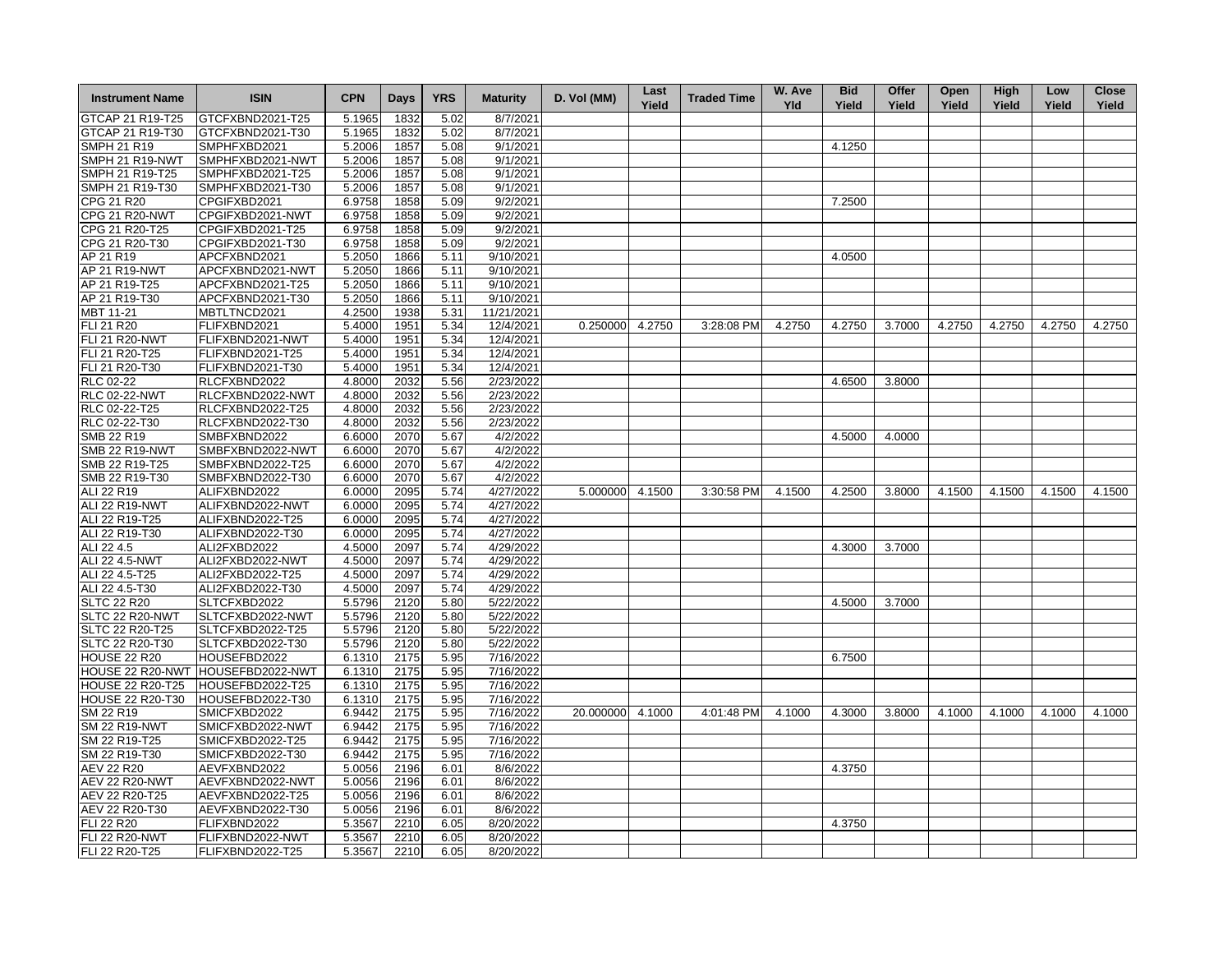| <b>Instrument Name</b>  | <b>ISIN</b>                       | <b>CPN</b> | <b>Days</b> | <b>YRS</b> | <b>Maturity</b> | D. Vol (MM) | Last<br>Yield | <b>Traded Time</b> | W. Ave<br><b>Yld</b> | <b>Bid</b><br>Yield | Offer<br>Yield | Open<br>Yield | High<br>Yield | Low<br>Yield | <b>Close</b><br>Yield |
|-------------------------|-----------------------------------|------------|-------------|------------|-----------------|-------------|---------------|--------------------|----------------------|---------------------|----------------|---------------|---------------|--------------|-----------------------|
| GTCAP 21 R19-T25        | GTCFXBND2021-T25                  | 5.1965     | 1832        | 5.02       | 8/7/2021        |             |               |                    |                      |                     |                |               |               |              |                       |
| GTCAP 21 R19-T30        | GTCFXBND2021-T30                  | 5.1965     | 1832        | 5.02       | 8/7/2021        |             |               |                    |                      |                     |                |               |               |              |                       |
| <b>SMPH 21 R19</b>      | SMPHFXBD2021                      | 5.2006     | 1857        | 5.08       | 9/1/2021        |             |               |                    |                      | 4.1250              |                |               |               |              |                       |
| SMPH 21 R19-NWT         | SMPHFXBD2021-NWT                  | 5.2006     | 1857        | 5.08       | 9/1/2021        |             |               |                    |                      |                     |                |               |               |              |                       |
| SMPH 21 R19-T25         | SMPHFXBD2021-T25                  | 5.2006     | 1857        | 5.08       | 9/1/2021        |             |               |                    |                      |                     |                |               |               |              |                       |
| SMPH 21 R19-T30         | SMPHFXBD2021-T30                  | 5.2006     | 1857        | 5.08       | 9/1/2021        |             |               |                    |                      |                     |                |               |               |              |                       |
| CPG 21 R20              | CPGIFXBD2021                      | 6.9758     | 1858        | 5.09       | 9/2/2021        |             |               |                    |                      | 7.2500              |                |               |               |              |                       |
| <b>CPG 21 R20-NWT</b>   | CPGIFXBD2021-NWT                  | 6.9758     | 1858        | 5.09       | 9/2/2021        |             |               |                    |                      |                     |                |               |               |              |                       |
| CPG 21 R20-T25          | CPGIFXBD2021-T25                  | 6.9758     | 1858        | 5.09       | 9/2/2021        |             |               |                    |                      |                     |                |               |               |              |                       |
| CPG 21 R20-T30          | CPGIFXBD2021-T30                  | 6.9758     | 1858        | 5.09       | 9/2/2021        |             |               |                    |                      |                     |                |               |               |              |                       |
| AP 21 R19               | APCFXBND2021                      | 5.2050     | 1866        | 5.11       | 9/10/2021       |             |               |                    |                      | 4.0500              |                |               |               |              |                       |
| AP 21 R19-NWT           | APCFXBND2021-NWT                  | 5.2050     | 1866        | 5.11       | 9/10/2021       |             |               |                    |                      |                     |                |               |               |              |                       |
| AP 21 R19-T25           | APCFXBND2021-T25                  | 5.2050     | 1866        | 5.11       | 9/10/2021       |             |               |                    |                      |                     |                |               |               |              |                       |
| AP 21 R19-T30           | APCFXBND2021-T30                  | 5.2050     | 1866        | 5.11       | 9/10/2021       |             |               |                    |                      |                     |                |               |               |              |                       |
| MBT 11-21               | MBTLTNCD2021                      | 4.2500     | 1938        | 5.31       | 11/21/2021      |             |               |                    |                      |                     |                |               |               |              |                       |
| FLI 21 R20              | FLIFXBND2021                      | 5.4000     | 1951        | 5.34       | 12/4/2021       | 0.250000    | 4.2750        | 3:28:08 PM         | 4.2750               | 4.2750              | 3.7000         | 4.2750        | 4.2750        | 4.2750       | 4.2750                |
| <b>FLI 21 R20-NWT</b>   | FLIFXBND2021-NWT                  | 5.4000     | 1951        | 5.34       | 12/4/2021       |             |               |                    |                      |                     |                |               |               |              |                       |
| FLI 21 R20-T25          | FLIFXBND2021-T25                  | 5.4000     | 1951        | 5.34       | 12/4/2021       |             |               |                    |                      |                     |                |               |               |              |                       |
| FLI 21 R20-T30          | FLIFXBND2021-T30                  | 5.4000     | 1951        | 5.34       | 12/4/2021       |             |               |                    |                      |                     |                |               |               |              |                       |
| <b>RLC 02-22</b>        | RLCFXBND2022                      | 4.8000     | 2032        | 5.56       | 2/23/2022       |             |               |                    |                      | 4.6500              | 3.8000         |               |               |              |                       |
| <b>RLC 02-22-NWT</b>    | RLCFXBND2022-NWT                  | 4.8000     | 2032        | 5.56       | 2/23/2022       |             |               |                    |                      |                     |                |               |               |              |                       |
| RLC 02-22-T25           | RLCFXBND2022-T25                  | 4.8000     | 2032        | 5.56       | 2/23/2022       |             |               |                    |                      |                     |                |               |               |              |                       |
| RLC 02-22-T30           |                                   |            |             |            | 2/23/2022       |             |               |                    |                      |                     |                |               |               |              |                       |
|                         | RLCFXBND2022-T30                  | 4.8000     | 2032        | 5.56       | 4/2/2022        |             |               |                    |                      |                     |                |               |               |              |                       |
| SMB 22 R19              | SMBFXBND2022                      | 6.6000     | 2070        | 5.67       |                 |             |               |                    |                      | 4.5000              | 4.0000         |               |               |              |                       |
| <b>SMB 22 R19-NWT</b>   | SMBFXBND2022-NWT                  | 6.6000     | 2070        | 5.67       | 4/2/2022        |             |               |                    |                      |                     |                |               |               |              |                       |
| SMB 22 R19-T25          | SMBFXBND2022-T25                  | 6.6000     | 2070        | 5.67       | 4/2/2022        |             |               |                    |                      |                     |                |               |               |              |                       |
| SMB 22 R19-T30          | SMBFXBND2022-T30                  | 6.6000     | 2070        | 5.67       | 4/2/2022        |             |               |                    |                      |                     |                |               |               |              |                       |
| ALI 22 R19              | ALIFXBND2022                      | 6.0000     | 2095        | 5.74       | 4/27/2022       | 5.000000    | 4.1500        | 3:30:58 PM         | 4.1500               | 4.2500              | 3.8000         | 4.1500        | 4.1500        | 4.1500       | 4.1500                |
| ALI 22 R19-NWT          | ALIFXBND2022-NWT                  | 6.0000     | 2095        | 5.74       | 4/27/2022       |             |               |                    |                      |                     |                |               |               |              |                       |
| ALI 22 R19-T25          | ALIFXBND2022-T25                  | 6.0000     | 2095        | 5.74       | 4/27/2022       |             |               |                    |                      |                     |                |               |               |              |                       |
| ALI 22 R19-T30          | ALIFXBND2022-T30                  | 6.0000     | 2095        | 5.74       | 4/27/2022       |             |               |                    |                      |                     |                |               |               |              |                       |
| ALI 22 4.5              | ALI2FXBD2022                      | 4.5000     | 2097        | 5.74       | 4/29/2022       |             |               |                    |                      | 4.3000              | 3.7000         |               |               |              |                       |
| ALI 22 4.5-NWT          | ALI2FXBD2022-NWT                  | 4.5000     | 2097        | 5.74       | 4/29/2022       |             |               |                    |                      |                     |                |               |               |              |                       |
| ALI 22 4.5-T25          | ALI2FXBD2022-T25                  | 4.5000     | 2097        | 5.74       | 4/29/2022       |             |               |                    |                      |                     |                |               |               |              |                       |
| ALI 22 4.5-T30          | ALI2FXBD2022-T30                  | 4.5000     | 2097        | 5.74       | 4/29/2022       |             |               |                    |                      |                     |                |               |               |              |                       |
| <b>SLTC 22 R20</b>      | SLTCFXBD2022                      | 5.5796     | 2120        | 5.80       | 5/22/2022       |             |               |                    |                      | 4.5000              | 3.7000         |               |               |              |                       |
| SLTC 22 R20-NWT         | SLTCFXBD2022-NWT                  | 5.5796     | 2120        | 5.80       | 5/22/2022       |             |               |                    |                      |                     |                |               |               |              |                       |
| SLTC 22 R20-T25         | SLTCFXBD2022-T25                  | 5.5796     | 2120        | 5.80       | 5/22/2022       |             |               |                    |                      |                     |                |               |               |              |                       |
| SLTC 22 R20-T30         | SLTCFXBD2022-T30                  | 5.5796     | 2120        | 5.80       | 5/22/2022       |             |               |                    |                      |                     |                |               |               |              |                       |
| HOUSE 22 R20            | HOUSEFBD2022                      | 6.1310     | 2175        | 5.95       | 7/16/2022       |             |               |                    |                      | 6.7500              |                |               |               |              |                       |
|                         | HOUSE 22 R20-NWT HOUSEFBD2022-NWT | 6.1310     | 2175        | 5.95       | 7/16/2022       |             |               |                    |                      |                     |                |               |               |              |                       |
| <b>HOUSE 22 R20-T25</b> | HOUSEFBD2022-T25                  | 6.1310     | 2175        | 5.95       | 7/16/2022       |             |               |                    |                      |                     |                |               |               |              |                       |
| <b>HOUSE 22 R20-T30</b> | HOUSEFBD2022-T30                  | 6.1310     | 2175        | 5.95       | 7/16/2022       |             |               |                    |                      |                     |                |               |               |              |                       |
| SM 22 R19               | SMICFXBD2022                      | 6.9442     | 2175        | 5.95       | 7/16/2022       | 20.000000   | 4.1000        | 4:01:48 PM         | 4.1000               | 4.3000              | 3.8000         | 4.1000        | 4.1000        | 4.1000       | 4.1000                |
| <b>SM 22 R19-NWT</b>    | SMICFXBD2022-NWT                  | 6.9442     | 2175        | 5.95       | 7/16/2022       |             |               |                    |                      |                     |                |               |               |              |                       |
| SM 22 R19-T25           | SMICFXBD2022-T25                  | 6.9442     | 2175        | 5.95       | 7/16/2022       |             |               |                    |                      |                     |                |               |               |              |                       |
| SM 22 R19-T30           | SMICFXBD2022-T30                  | 6.9442     | 2175        | 5.95       | 7/16/2022       |             |               |                    |                      |                     |                |               |               |              |                       |
| <b>AEV 22 R20</b>       | AEVFXBND2022                      | 5.0056     | 2196        | 6.01       | 8/6/2022        |             |               |                    |                      | 4.3750              |                |               |               |              |                       |
| AEV 22 R20-NWT          | AEVFXBND2022-NWT                  | 5.0056     | 2196        | 6.01       | 8/6/2022        |             |               |                    |                      |                     |                |               |               |              |                       |
| AEV 22 R20-T25          | AEVFXBND2022-T25                  | 5.0056     | 2196        | 6.01       | 8/6/2022        |             |               |                    |                      |                     |                |               |               |              |                       |
| AEV 22 R20-T30          | AEVFXBND2022-T30                  | 5.0056     | 2196        | 6.01       | 8/6/2022        |             |               |                    |                      |                     |                |               |               |              |                       |
| <b>FLI 22 R20</b>       | FLIFXBND2022                      | 5.3567     | 2210        | 6.05       | 8/20/2022       |             |               |                    |                      | 4.3750              |                |               |               |              |                       |
| <b>FLI 22 R20-NWT</b>   | FLIFXBND2022-NWT                  | 5.3567     | 2210        | 6.05       | 8/20/2022       |             |               |                    |                      |                     |                |               |               |              |                       |
| FLI 22 R20-T25          | FLIFXBND2022-T25                  | 5.3567     | 2210        | 6.05       | 8/20/2022       |             |               |                    |                      |                     |                |               |               |              |                       |
|                         |                                   |            |             |            |                 |             |               |                    |                      |                     |                |               |               |              |                       |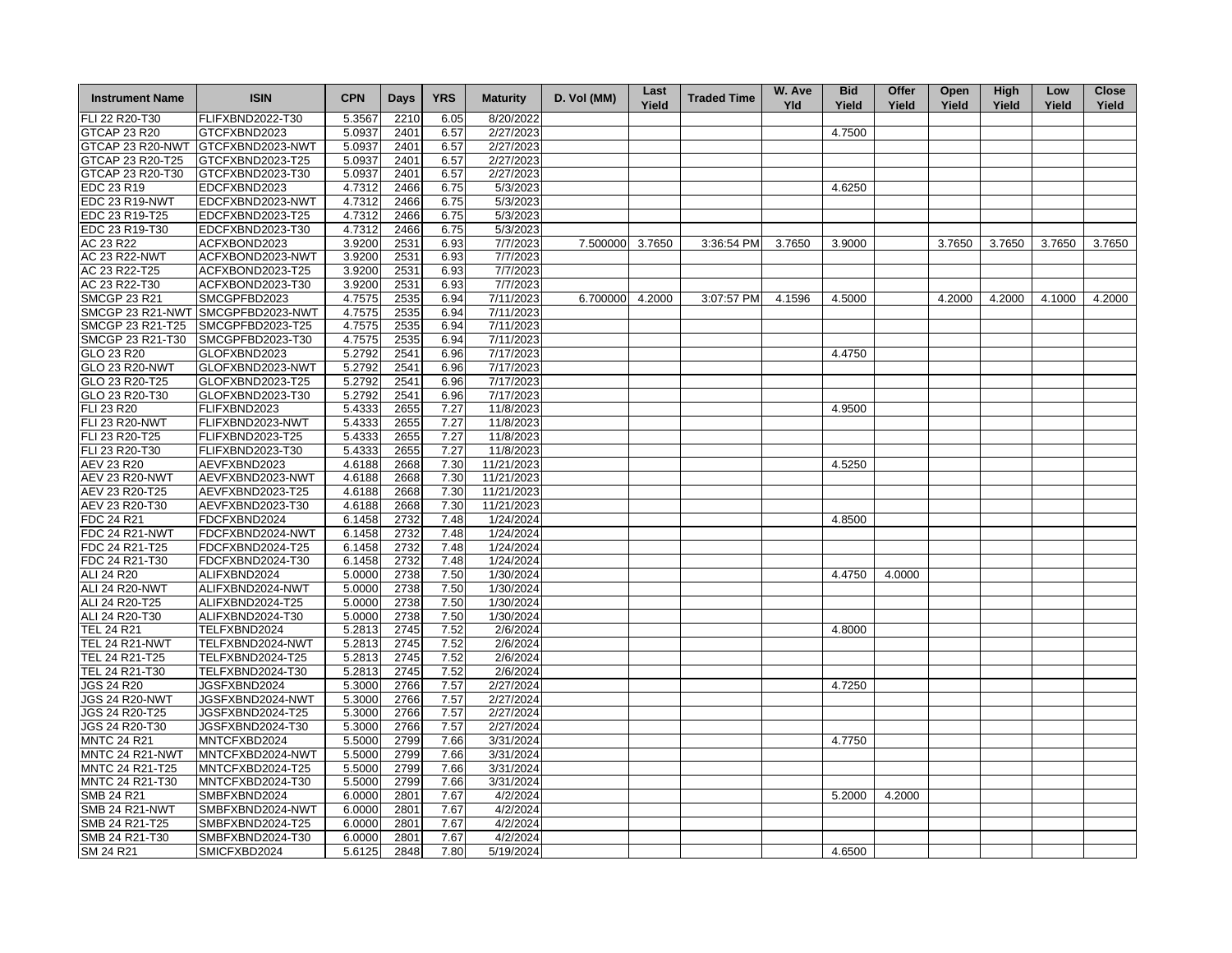| <b>Instrument Name</b> | <b>ISIN</b>                       | <b>CPN</b> | <b>Days</b> | <b>YRS</b> | <b>Maturity</b> | D. Vol (MM) | Last<br>Yield | <b>Traded Time</b> | W. Ave<br><b>Yld</b> | <b>Bid</b><br>Yield | Offer<br>Yield | Open<br>Yield | High<br>Yield | Low<br>Yield | <b>Close</b><br>Yield |
|------------------------|-----------------------------------|------------|-------------|------------|-----------------|-------------|---------------|--------------------|----------------------|---------------------|----------------|---------------|---------------|--------------|-----------------------|
| FLI 22 R20-T30         | FLIFXBND2022-T30                  | 5.3567     | 2210        | 6.05       | 8/20/2022       |             |               |                    |                      |                     |                |               |               |              |                       |
| GTCAP 23 R20           | GTCFXBND2023                      | 5.0937     | 2401        | 6.57       | 2/27/2023       |             |               |                    |                      | 4.7500              |                |               |               |              |                       |
| GTCAP 23 R20-NWT       | GTCFXBND2023-NWT                  | 5.0937     | 2401        | 6.57       | 2/27/2023       |             |               |                    |                      |                     |                |               |               |              |                       |
| GTCAP 23 R20-T25       | GTCFXBND2023-T25                  | 5.0937     | 2401        | 6.57       | 2/27/2023       |             |               |                    |                      |                     |                |               |               |              |                       |
| GTCAP 23 R20-T30       | GTCFXBND2023-T30                  | 5.0937     | 2401        | 6.57       | 2/27/2023       |             |               |                    |                      |                     |                |               |               |              |                       |
| EDC 23 R19             | EDCFXBND2023                      | 4.7312     | 2466        | 6.75       | 5/3/2023        |             |               |                    |                      | 4.6250              |                |               |               |              |                       |
| EDC 23 R19-NWT         | EDCFXBND2023-NWT                  | 4.7312     | 2466        | 6.75       | 5/3/2023        |             |               |                    |                      |                     |                |               |               |              |                       |
| EDC 23 R19-T25         | EDCFXBND2023-T25                  | 4.7312     | 2466        | 6.75       | 5/3/2023        |             |               |                    |                      |                     |                |               |               |              |                       |
| EDC 23 R19-T30         | EDCFXBND2023-T30                  | 4.7312     | 2466        | 6.75       | 5/3/2023        |             |               |                    |                      |                     |                |               |               |              |                       |
| AC 23 R22              | ACFXBOND2023                      | 3.9200     | 2531        | 6.93       | 7/7/2023        | 7.500000    | 3.7650        | 3:36:54 PM         | 3.7650               | 3.9000              |                | 3.7650        | 3.7650        | 3.7650       | 3.7650                |
| <b>AC 23 R22-NWT</b>   | ACFXBOND2023-NWT                  | 3.9200     | 2531        | 6.93       | 7/7/2023        |             |               |                    |                      |                     |                |               |               |              |                       |
| AC 23 R22-T25          | ACFXBOND2023-T25                  | 3.9200     | 2531        | 6.93       | 7/7/2023        |             |               |                    |                      |                     |                |               |               |              |                       |
| AC 23 R22-T30          | ACFXBOND2023-T30                  | 3.9200     | 2531        | 6.93       | 7/7/2023        |             |               |                    |                      |                     |                |               |               |              |                       |
| <b>SMCGP 23 R21</b>    | SMCGPFBD2023                      | 4.7575     | 2535        | 6.94       | 7/11/2023       | 6.700000    | 4.2000        | 3:07:57 PM         | 4.1596               | 4.5000              |                | 4.2000        | 4.2000        | 4.1000       | 4.2000                |
|                        | SMCGP 23 R21-NWT SMCGPFBD2023-NWT | 4.7575     | 2535        | 6.94       | 7/11/2023       |             |               |                    |                      |                     |                |               |               |              |                       |
| SMCGP 23 R21-T25       | SMCGPFBD2023-T25                  | 4.7575     | 2535        | 6.94       | 7/11/2023       |             |               |                    |                      |                     |                |               |               |              |                       |
| SMCGP 23 R21-T30       | SMCGPFBD2023-T30                  | 4.7575     | 2535        | 6.94       | 7/11/2023       |             |               |                    |                      |                     |                |               |               |              |                       |
| GLO 23 R20             | GLOFXBND2023                      | 5.2792     | 2541        | 6.96       | 7/17/2023       |             |               |                    |                      | 4.4750              |                |               |               |              |                       |
| <b>GLO 23 R20-NWT</b>  | GLOFXBND2023-NWT                  | 5.2792     | 2541        | 6.96       | 7/17/2023       |             |               |                    |                      |                     |                |               |               |              |                       |
| GLO 23 R20-T25         | GLOFXBND2023-T25                  | 5.2792     | 2541        | 6.96       | 7/17/2023       |             |               |                    |                      |                     |                |               |               |              |                       |
| GLO 23 R20-T30         | GLOFXBND2023-T30                  | 5.2792     | 2541        | 6.96       | 7/17/2023       |             |               |                    |                      |                     |                |               |               |              |                       |
| <b>FLI 23 R20</b>      | FLIFXBND2023                      | 5.4333     | 2655        | 7.27       | 11/8/2023       |             |               |                    |                      | 4.9500              |                |               |               |              |                       |
| <b>FLI 23 R20-NWT</b>  | FLIFXBND2023-NWT                  | 5.4333     | 2655        | 7.27       | 11/8/2023       |             |               |                    |                      |                     |                |               |               |              |                       |
| FLI 23 R20-T25         | FLIFXBND2023-T25                  | 5.4333     | 2655        | 7.27       | 11/8/2023       |             |               |                    |                      |                     |                |               |               |              |                       |
| FLI 23 R20-T30         | FLIFXBND2023-T30                  | 5.4333     | 2655        | 7.27       | 11/8/2023       |             |               |                    |                      |                     |                |               |               |              |                       |
| AEV 23 R20             | AEVFXBND2023                      | 4.6188     | 2668        | 7.30       | 11/21/2023      |             |               |                    |                      | 4.5250              |                |               |               |              |                       |
| <b>AEV 23 R20-NWT</b>  | AEVFXBND2023-NWT                  | 4.6188     | 2668        | 7.30       | 11/21/2023      |             |               |                    |                      |                     |                |               |               |              |                       |
| AEV 23 R20-T25         | AEVFXBND2023-T25                  | 4.6188     | 2668        | 7.30       | 11/21/2023      |             |               |                    |                      |                     |                |               |               |              |                       |
| AEV 23 R20-T30         | AEVFXBND2023-T30                  | 4.6188     | 2668        | 7.30       | 11/21/2023      |             |               |                    |                      |                     |                |               |               |              |                       |
| FDC 24 R21             | FDCFXBND2024                      | 6.1458     | 2732        | 7.48       | 1/24/2024       |             |               |                    |                      | 4.8500              |                |               |               |              |                       |
| FDC 24 R21-NWT         | FDCFXBND2024-NWT                  | 6.1458     | 2732        | 7.48       | 1/24/2024       |             |               |                    |                      |                     |                |               |               |              |                       |
| FDC 24 R21-T25         | FDCFXBND2024-T25                  | 6.1458     | 2732        | 7.48       | 1/24/2024       |             |               |                    |                      |                     |                |               |               |              |                       |
| FDC 24 R21-T30         | FDCFXBND2024-T30                  | 6.1458     | 2732        | 7.48       | 1/24/2024       |             |               |                    |                      |                     |                |               |               |              |                       |
| ALI 24 R20             | ALIFXBND2024                      | 5.0000     | 2738        | 7.50       | 1/30/2024       |             |               |                    |                      | 4.4750              | 4.0000         |               |               |              |                       |
| ALI 24 R20-NWT         | ALIFXBND2024-NWT                  | 5.0000     | 2738        | 7.50       | 1/30/2024       |             |               |                    |                      |                     |                |               |               |              |                       |
| ALI 24 R20-T25         | ALIFXBND2024-T25                  | 5.0000     | 2738        | 7.50       | 1/30/2024       |             |               |                    |                      |                     |                |               |               |              |                       |
| ALI 24 R20-T30         | ALIFXBND2024-T30                  | 5.0000     | 2738        | 7.50       | 1/30/2024       |             |               |                    |                      |                     |                |               |               |              |                       |
| <b>TEL 24 R21</b>      | TELFXBND2024                      | 5.2813     | 2745        | 7.52       | 2/6/2024        |             |               |                    |                      | 4.8000              |                |               |               |              |                       |
| <b>TEL 24 R21-NWT</b>  | TELFXBND2024-NWT                  | 5.2813     | 2745        | 7.52       | 2/6/2024        |             |               |                    |                      |                     |                |               |               |              |                       |
| TEL 24 R21-T25         | TELFXBND2024-T25                  | 5.2813     | 2745        | 7.52       | 2/6/2024        |             |               |                    |                      |                     |                |               |               |              |                       |
| TEL 24 R21-T30         | TELFXBND2024-T30                  | 5.2813     | 2745        | 7.52       | 2/6/2024        |             |               |                    |                      |                     |                |               |               |              |                       |
| <b>JGS 24 R20</b>      | JGSFXBND2024                      | 5.3000     | 2766        | 7.57       | 2/27/2024       |             |               |                    |                      | 4.7250              |                |               |               |              |                       |
| <b>JGS 24 R20-NWT</b>  | JGSFXBND2024-NWT                  | 5.3000     | 2766        | 7.57       | 2/27/2024       |             |               |                    |                      |                     |                |               |               |              |                       |
| JGS 24 R20-T25         | JGSFXBND2024-T25                  | 5.3000     | 2766        | 7.57       | 2/27/2024       |             |               |                    |                      |                     |                |               |               |              |                       |
| JGS 24 R20-T30         | JGSFXBND2024-T30                  | 5.3000     | 2766        | 7.57       | 2/27/2024       |             |               |                    |                      |                     |                |               |               |              |                       |
| <b>MNTC 24 R21</b>     | MNTCFXBD2024                      | 5.5000     | 2799        | 7.66       | 3/31/2024       |             |               |                    |                      | 4.7750              |                |               |               |              |                       |
| MNTC 24 R21-NWT        | MNTCFXBD2024-NWT                  | 5.5000     | 2799        | 7.66       | 3/31/2024       |             |               |                    |                      |                     |                |               |               |              |                       |
| MNTC 24 R21-T25        | MNTCFXBD2024-T25                  | 5.5000     | 2799        | 7.66       | 3/31/2024       |             |               |                    |                      |                     |                |               |               |              |                       |
|                        |                                   |            |             |            |                 |             |               |                    |                      |                     |                |               |               |              |                       |
| MNTC 24 R21-T30        | MNTCFXBD2024-T30                  | 5.5000     | 2799        | 7.66       | 3/31/2024       |             |               |                    |                      |                     |                |               |               |              |                       |
| SMB 24 R21             | SMBFXBND2024                      | 6.0000     | 2801        | 7.67       | 4/2/2024        |             |               |                    |                      | 5.2000              | 4.2000         |               |               |              |                       |
| <b>SMB 24 R21-NWT</b>  | SMBFXBND2024-NWT                  | 6.0000     | 2801        | 7.67       | 4/2/2024        |             |               |                    |                      |                     |                |               |               |              |                       |
| SMB 24 R21-T25         | SMBFXBND2024-T25                  | 6.0000     | 2801        | 7.67       | 4/2/2024        |             |               |                    |                      |                     |                |               |               |              |                       |
| SMB 24 R21-T30         | SMBFXBND2024-T30                  | 6.0000     | 2801        | 7.67       | 4/2/2024        |             |               |                    |                      |                     |                |               |               |              |                       |
| SM 24 R21              | SMICFXBD2024                      | 5.6125     | 2848        | 7.80       | 5/19/2024       |             |               |                    |                      | 4.6500              |                |               |               |              |                       |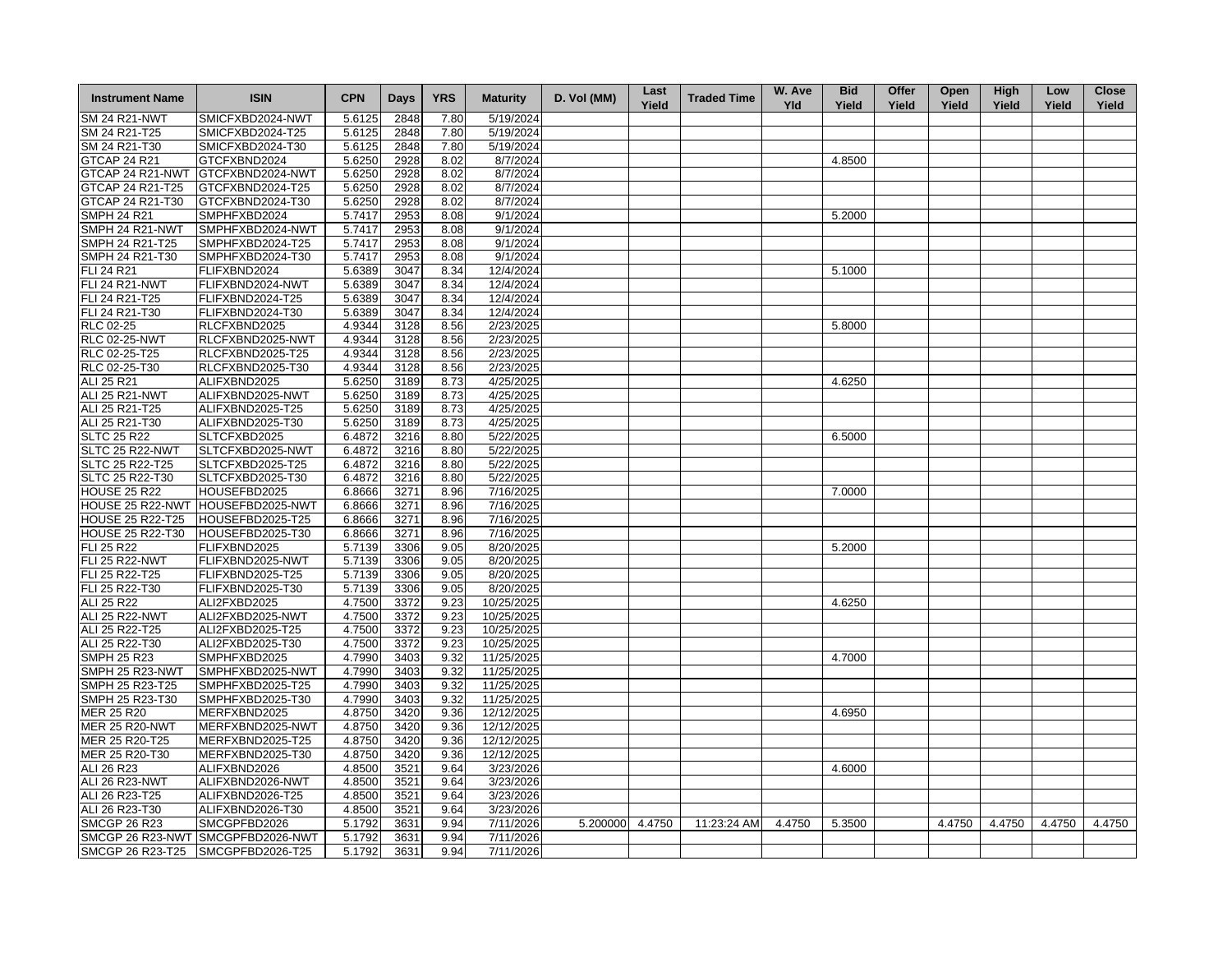| <b>Instrument Name</b>                | <b>ISIN</b>                          | <b>CPN</b> | <b>Days</b> | <b>YRS</b> | <b>Maturity</b>        | D. Vol (MM) | Last<br>Yield | <b>Traded Time</b> | W. Ave<br><b>Yld</b> | <b>Bid</b><br>Yield | Offer<br>Yield | Open<br>Yield | <b>High</b><br>Yield | Low<br>Yield | <b>Close</b><br>Yield |
|---------------------------------------|--------------------------------------|------------|-------------|------------|------------------------|-------------|---------------|--------------------|----------------------|---------------------|----------------|---------------|----------------------|--------------|-----------------------|
| <b>SM 24 R21-NWT</b>                  | SMICFXBD2024-NWT                     | 5.6125     | 2848        | 7.80       | 5/19/2024              |             |               |                    |                      |                     |                |               |                      |              |                       |
| SM 24 R21-T25                         | SMICFXBD2024-T25                     | 5.6125     | 2848        | 7.80       | 5/19/2024              |             |               |                    |                      |                     |                |               |                      |              |                       |
| SM 24 R21-T30                         | SMICFXBD2024-T30                     | 5.6125     | 2848        | 7.80       | 5/19/2024              |             |               |                    |                      |                     |                |               |                      |              |                       |
| <b>GTCAP 24 R21</b>                   | GTCFXBND2024                         | 5.6250     | 2928        | 8.02       | 8/7/2024               |             |               |                    |                      | 4.8500              |                |               |                      |              |                       |
| GTCAP 24 R21-NWT                      | GTCFXBND2024-NWT                     | 5.6250     | 2928        | 8.02       | 8/7/2024               |             |               |                    |                      |                     |                |               |                      |              |                       |
| GTCAP 24 R21-T25                      | GTCFXBND2024-T25                     | 5.6250     | 2928        | 8.02       | 8/7/2024               |             |               |                    |                      |                     |                |               |                      |              |                       |
| GTCAP 24 R21-T30                      | GTCFXBND2024-T30                     | 5.6250     | 2928        | 8.02       | 8/7/2024               |             |               |                    |                      |                     |                |               |                      |              |                       |
| <b>SMPH 24 R21</b>                    | SMPHFXBD2024                         | 5.7417     | 2953        | 8.08       | 9/1/2024               |             |               |                    |                      | 5.2000              |                |               |                      |              |                       |
| SMPH 24 R21-NWT                       | SMPHFXBD2024-NWT                     | 5.7417     | 2953        | 8.08       | 9/1/2024               |             |               |                    |                      |                     |                |               |                      |              |                       |
| SMPH 24 R21-T25                       | SMPHFXBD2024-T25                     | 5.7417     | 2953        | 8.08       | 9/1/2024               |             |               |                    |                      |                     |                |               |                      |              |                       |
| SMPH 24 R21-T30                       | SMPHFXBD2024-T30                     | 5.7417     | 2953        | 8.08       | 9/1/2024               |             |               |                    |                      |                     |                |               |                      |              |                       |
| <b>FLI 24 R21</b>                     | FLIFXBND2024                         | 5.6389     | 3047        | 8.34       | 12/4/2024              |             |               |                    |                      | 5.1000              |                |               |                      |              |                       |
| <b>FLI 24 R21-NWT</b>                 | FLIFXBND2024-NWT                     | 5.6389     | 3047        | 8.34       | 12/4/2024              |             |               |                    |                      |                     |                |               |                      |              |                       |
| FLI 24 R21-T25                        | FLIFXBND2024-T25                     | 5.6389     | 3047        | 8.34       | 12/4/2024              |             |               |                    |                      |                     |                |               |                      |              |                       |
| FLI 24 R21-T30                        | FLIFXBND2024-T30                     | 5.6389     | 3047        | 8.34       | 12/4/2024              |             |               |                    |                      |                     |                |               |                      |              |                       |
| RLC 02-25                             | RLCFXBND2025                         | 4.9344     | 3128        | 8.56       | 2/23/2025              |             |               |                    |                      | 5.8000              |                |               |                      |              |                       |
|                                       |                                      |            |             |            |                        |             |               |                    |                      |                     |                |               |                      |              |                       |
| <b>RLC 02-25-NWT</b><br>RLC 02-25-T25 | RLCFXBND2025-NWT<br>RLCFXBND2025-T25 | 4.9344     | 3128        | 8.56       | 2/23/2025<br>2/23/2025 |             |               |                    |                      |                     |                |               |                      |              |                       |
|                                       |                                      | 4.9344     | 3128        | 8.56       |                        |             |               |                    |                      |                     |                |               |                      |              |                       |
| RLC 02-25-T30                         | RLCFXBND2025-T30                     | 4.9344     | 3128        | 8.56       | 2/23/2025              |             |               |                    |                      |                     |                |               |                      |              |                       |
| ALI 25 R21                            | ALIFXBND2025                         | 5.6250     | 3189        | 8.73       | 4/25/2025              |             |               |                    |                      | 4.6250              |                |               |                      |              |                       |
| ALI 25 R21-NWT                        | ALIFXBND2025-NWT                     | 5.6250     | 3189        | 8.73       | 4/25/2025              |             |               |                    |                      |                     |                |               |                      |              |                       |
| ALI 25 R21-T25                        | ALIFXBND2025-T25                     | 5.6250     | 3189        | 8.73       | 4/25/2025              |             |               |                    |                      |                     |                |               |                      |              |                       |
| ALI 25 R21-T30                        | ALIFXBND2025-T30                     | 5.6250     | 3189        | 8.73       | 4/25/2025              |             |               |                    |                      |                     |                |               |                      |              |                       |
| <b>SLTC 25 R22</b>                    | SLTCFXBD2025                         | 6.4872     | 3216        | 8.80       | 5/22/2025              |             |               |                    |                      | 6.5000              |                |               |                      |              |                       |
| SLTC 25 R22-NWT                       | SLTCFXBD2025-NWT                     | 6.4872     | 3216        | 8.80       | 5/22/2025              |             |               |                    |                      |                     |                |               |                      |              |                       |
| SLTC 25 R22-T25                       | SLTCFXBD2025-T25                     | 6.4872     | 3216        | 8.80       | 5/22/2025              |             |               |                    |                      |                     |                |               |                      |              |                       |
| SLTC 25 R22-T30                       | SLTCFXBD2025-T30                     | 6.4872     | 3216        | 8.80       | 5/22/2025              |             |               |                    |                      |                     |                |               |                      |              |                       |
| <b>HOUSE 25 R22</b>                   | HOUSEFBD2025                         | 6.8666     | 3271        | 8.96       | 7/16/2025              |             |               |                    |                      | 7.0000              |                |               |                      |              |                       |
|                                       | HOUSE 25 R22-NWT HOUSEFBD2025-NWT    | 6.8666     | 3271        | 8.96       | 7/16/2025              |             |               |                    |                      |                     |                |               |                      |              |                       |
| <b>HOUSE 25 R22-T25</b>               | HOUSEFBD2025-T25                     | 6.8666     | 3271        | 8.96       | 7/16/2025              |             |               |                    |                      |                     |                |               |                      |              |                       |
| <b>HOUSE 25 R22-T30</b>               | HOUSEFBD2025-T30                     | 6.8666     | 3271        | 8.96       | 7/16/2025              |             |               |                    |                      |                     |                |               |                      |              |                       |
| FLI 25 R22                            | FLIFXBND2025                         | 5.7139     | 3306        | 9.05       | 8/20/2025              |             |               |                    |                      | 5.2000              |                |               |                      |              |                       |
| <b>FLI 25 R22-NWT</b>                 | FLIFXBND2025-NWT                     | 5.7139     | 3306        | 9.05       | 8/20/2025              |             |               |                    |                      |                     |                |               |                      |              |                       |
| FLI 25 R22-T25                        | FLIFXBND2025-T25                     | 5.7139     | 3306        | 9.05       | 8/20/2025              |             |               |                    |                      |                     |                |               |                      |              |                       |
| FLI 25 R22-T30                        | FLIFXBND2025-T30                     | 5.7139     | 3306        | 9.05       | 8/20/2025              |             |               |                    |                      |                     |                |               |                      |              |                       |
| ALI 25 R22                            | ALI2FXBD2025                         | 4.7500     | 3372        | 9.23       | 10/25/2025             |             |               |                    |                      | 4.6250              |                |               |                      |              |                       |
| <b>ALI 25 R22-NWT</b>                 | ALI2FXBD2025-NWT                     | 4.7500     | 3372        | 9.23       | 10/25/2025             |             |               |                    |                      |                     |                |               |                      |              |                       |
| ALI 25 R22-T25                        | ALI2FXBD2025-T25                     | 4.7500     | 3372        | 9.23       | 10/25/2025             |             |               |                    |                      |                     |                |               |                      |              |                       |
| ALI 25 R22-T30                        | ALI2FXBD2025-T30                     | 4.7500     | 3372        | 9.23       | 10/25/2025             |             |               |                    |                      |                     |                |               |                      |              |                       |
| <b>SMPH 25 R23</b>                    | SMPHFXBD2025                         | 4.7990     | 3403        | 9.32       | 11/25/2025             |             |               |                    |                      | 4.7000              |                |               |                      |              |                       |
| SMPH 25 R23-NWT                       | SMPHFXBD2025-NWT                     | 4.7990     | 3403        | 9.32       | 11/25/2025             |             |               |                    |                      |                     |                |               |                      |              |                       |
| SMPH 25 R23-T25                       | SMPHFXBD2025-T25                     | 4.7990     | 3403        | 9.32       | 11/25/2025             |             |               |                    |                      |                     |                |               |                      |              |                       |
| SMPH 25 R23-T30                       | SMPHFXBD2025-T30                     | 4.7990     | 3403        | 9.32       | 11/25/2025             |             |               |                    |                      |                     |                |               |                      |              |                       |
| <b>MER 25 R20</b>                     | MERFXBND2025                         | 4.8750     | 3420        | 9.36       | 12/12/2025             |             |               |                    |                      | 4.6950              |                |               |                      |              |                       |
| <b>MER 25 R20-NWT</b>                 | MERFXBND2025-NWT                     | 4.8750     | 3420        | 9.36       | 12/12/2025             |             |               |                    |                      |                     |                |               |                      |              |                       |
| MER 25 R20-T25                        | MERFXBND2025-T25                     | 4.8750     | 3420        | 9.36       | 12/12/2025             |             |               |                    |                      |                     |                |               |                      |              |                       |
| MER 25 R20-T30                        | MERFXBND2025-T30                     | 4.8750     | 3420        | 9.36       | 12/12/2025             |             |               |                    |                      |                     |                |               |                      |              |                       |
| ALI 26 R23                            | ALIFXBND2026                         | 4.8500     | 3521        | 9.64       | 3/23/2026              |             |               |                    |                      | 4.6000              |                |               |                      |              |                       |
| ALI 26 R23-NWT                        |                                      |            |             |            |                        |             |               |                    |                      |                     |                |               |                      |              |                       |
|                                       | ALIFXBND2026-NWT                     | 4.8500     | 3521        | 9.64       | 3/23/2026              |             |               |                    |                      |                     |                |               |                      |              |                       |
| ALI 26 R23-T25                        | ALIFXBND2026-T25                     | 4.8500     | 3521        | 9.64       | 3/23/2026              |             |               |                    |                      |                     |                |               |                      |              |                       |
| ALI 26 R23-T30                        | ALIFXBND2026-T30                     | 4.8500     | 3521        | 9.64       | 3/23/2026              |             |               |                    |                      |                     |                |               |                      |              |                       |
| <b>SMCGP 26 R23</b>                   | SMCGPFBD2026                         | 5.1792     | 3631        | 9.94       | 7/11/2026              | 5.200000    | 4.4750        | 11:23:24 AM        | 4.4750               | 5.3500              |                | 4.4750        | 4.4750               | 4.4750       | 4.4750                |
|                                       | SMCGP 26 R23-NWT SMCGPFBD2026-NWT    | 5.1792     | 3631        | 9.94       | 7/11/2026              |             |               |                    |                      |                     |                |               |                      |              |                       |
|                                       | SMCGP 26 R23-T25 SMCGPFBD2026-T25    | 5.1792     | 3631        | 9.94       | 7/11/2026              |             |               |                    |                      |                     |                |               |                      |              |                       |